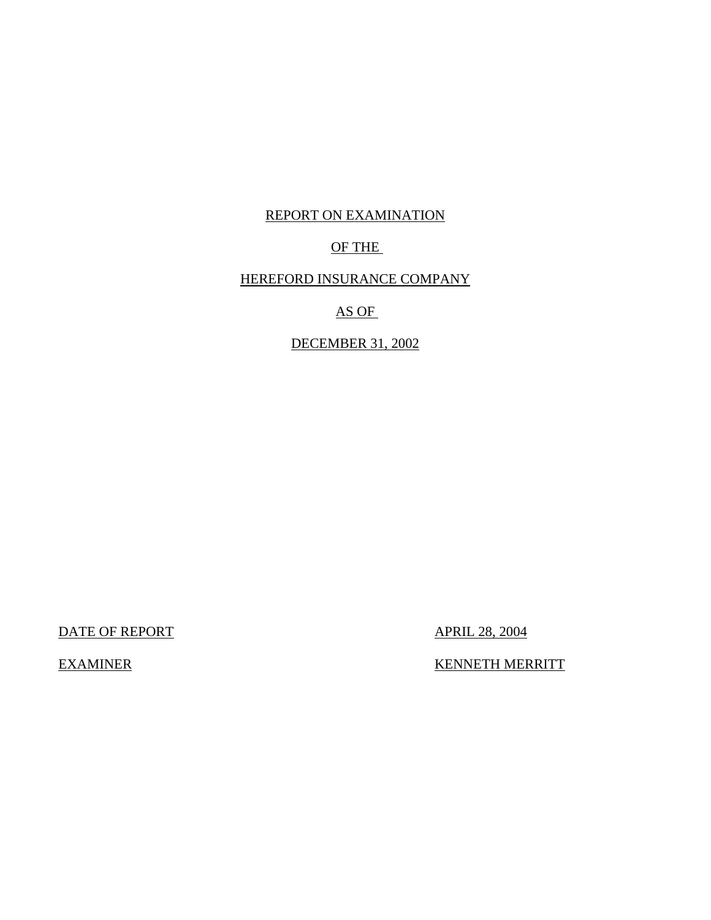# REPORT ON EXAMINATION

# OF THE

# HEREFORD INSURANCE COMPANY

# AS OF

# DECEMBER 31, 2002

DATE OF REPORT APRIL 28, 2004

EXAMINER KENNETH MERRITT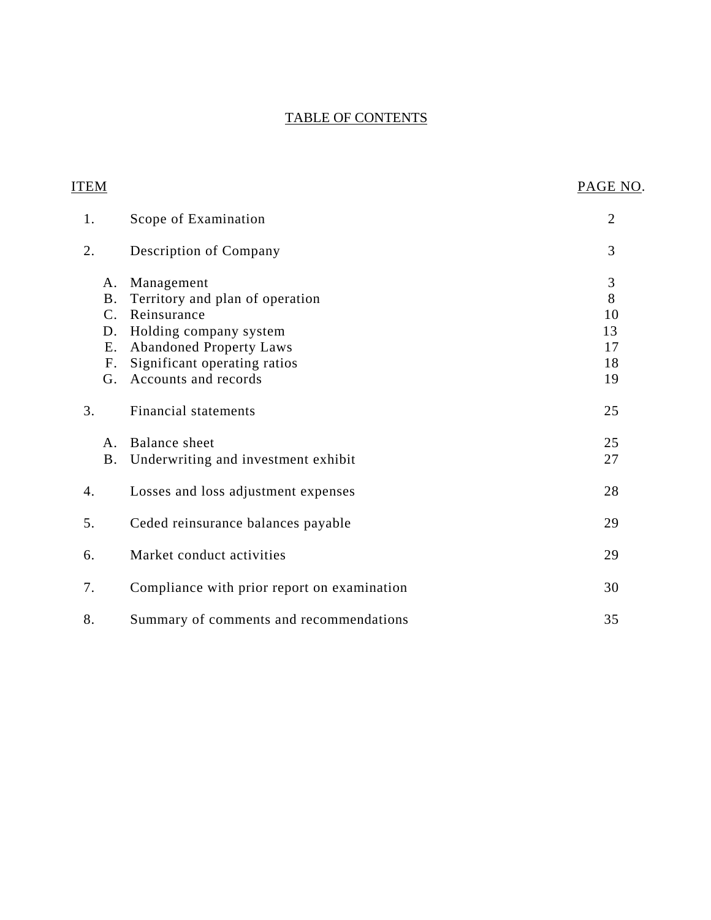# TABLE OF CONTENTS

| <b>ITEM</b>                                             |                                                                                                                                                                                  | PAGE NO.                                          |
|---------------------------------------------------------|----------------------------------------------------------------------------------------------------------------------------------------------------------------------------------|---------------------------------------------------|
| 1.                                                      | Scope of Examination                                                                                                                                                             | $\overline{2}$                                    |
| 2.                                                      | Description of Company                                                                                                                                                           | 3                                                 |
| Α.<br><b>B</b> .<br>$C_{\cdot}$<br>D.<br>Ε.<br>F.<br>G. | Management<br>Territory and plan of operation<br>Reinsurance<br>Holding company system<br><b>Abandoned Property Laws</b><br>Significant operating ratios<br>Accounts and records | $\mathfrak{Z}$<br>8<br>10<br>13<br>17<br>18<br>19 |
| 3.                                                      | <b>Financial statements</b>                                                                                                                                                      | 25                                                |
| A.<br><b>B.</b>                                         | Balance sheet<br>Underwriting and investment exhibit                                                                                                                             | 25<br>27                                          |
| 4.                                                      | Losses and loss adjustment expenses                                                                                                                                              | 28                                                |
| 5.                                                      | Ceded reinsurance balances payable                                                                                                                                               | 29                                                |
| 6.                                                      | Market conduct activities                                                                                                                                                        | 29                                                |
| 7.                                                      | Compliance with prior report on examination                                                                                                                                      | 30                                                |
| 8.                                                      | Summary of comments and recommendations                                                                                                                                          | 35                                                |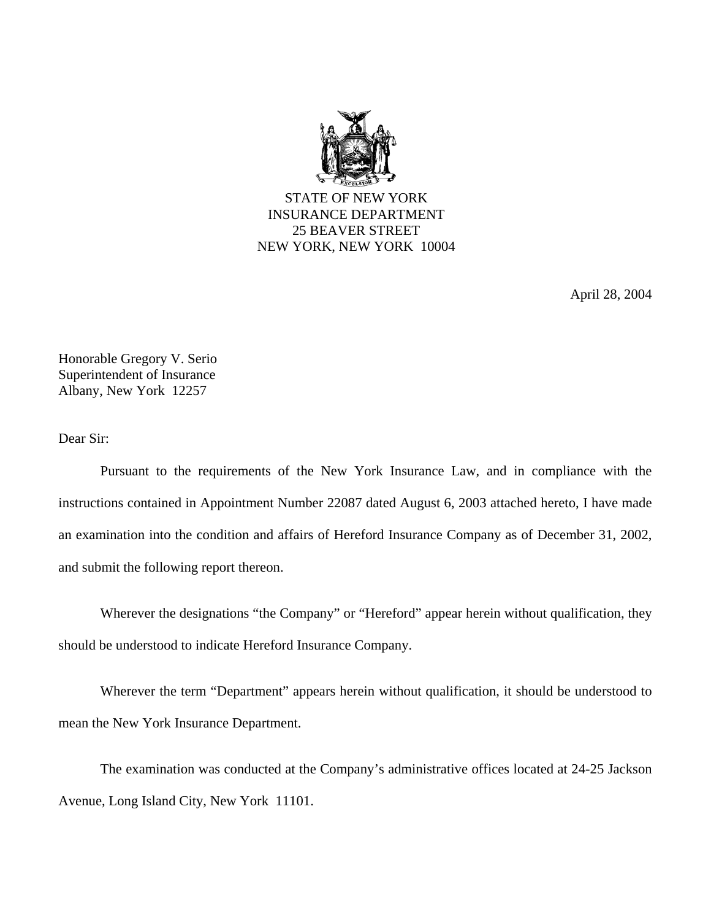

STATE OF NEW YORK INSURANCE DEPARTMENT 25 BEAVER STREET NEW YORK, NEW YORK 10004

April 28, 2004

Honorable Gregory V. Serio Superintendent of Insurance Albany, New York 12257

Dear Sir:

Pursuant to the requirements of the New York Insurance Law, and in compliance with the instructions contained in Appointment Number 22087 dated August 6, 2003 attached hereto, I have made an examination into the condition and affairs of Hereford Insurance Company as of December 31, 2002, and submit the following report thereon.

Wherever the designations "the Company" or "Hereford" appear herein without qualification, they should be understood to indicate Hereford Insurance Company.

Wherever the term "Department" appears herein without qualification, it should be understood to mean the New York Insurance Department.

The examination was conducted at the Company's administrative offices located at 24-25 Jackson Avenue, Long Island City, New York 11101.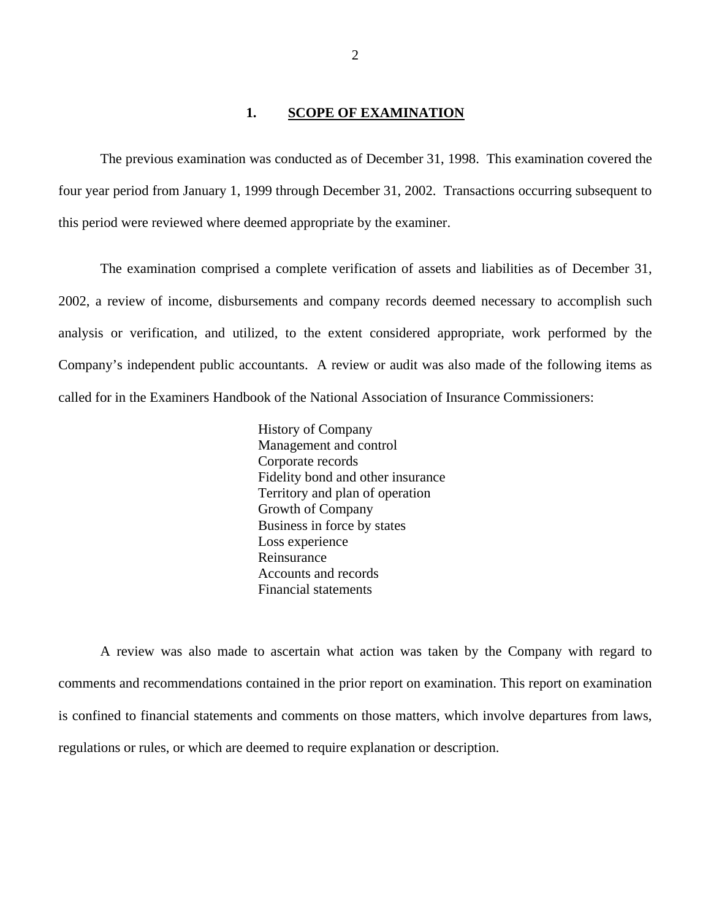#### 1. **SCOPE OF EXAMINATION**

<span id="page-3-0"></span>The previous examination was conducted as of December 31, 1998. This examination covered the four year period from January 1, 1999 through December 31, 2002. Transactions occurring subsequent to this period were reviewed where deemed appropriate by the examiner.

The examination comprised a complete verification of assets and liabilities as of December 31, 2002, a review of income, disbursements and company records deemed necessary to accomplish such analysis or verification, and utilized, to the extent considered appropriate, work performed by the Company's independent public accountants. A review or audit was also made of the following items as called for in the Examiners Handbook of the National Association of Insurance Commissioners:

> History of Company Management and control Corporate records Fidelity bond and other insurance Territory and plan of operation Growth of Company Business in force by states Loss experience Reinsurance Accounts and records Financial statements

A review was also made to ascertain what action was taken by the Company with regard to comments and recommendations contained in the prior report on examination. This report on examination is confined to financial statements and comments on those matters, which involve departures from laws, regulations or rules, or which are deemed to require explanation or description.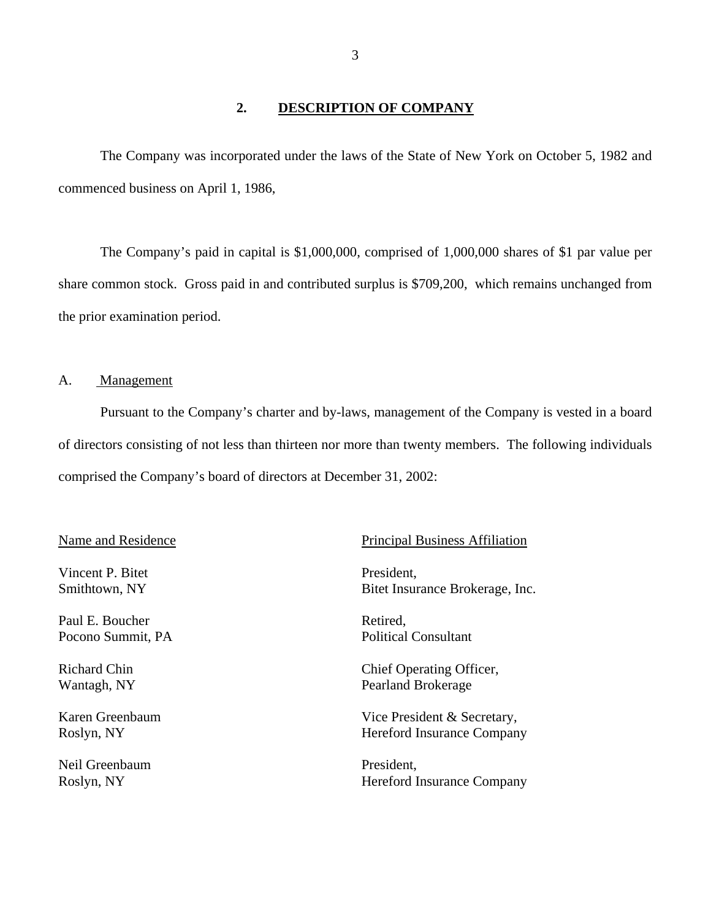## **2. DESCRIPTION OF COMPANY**

<span id="page-4-0"></span>The Company was incorporated under the laws of the State of New York on October 5, 1982 and commenced business on April 1, 1986,

The Company's paid in capital is \$1,000,000, comprised of 1,000,000 shares of \$1 par value per share common stock. Gross paid in and contributed surplus is \$709,200, which remains unchanged from the prior examination period.

## A. Management

Pursuant to the Company's charter and by-laws, management of the Company is vested in a board of directors consisting of not less than thirteen nor more than twenty members. The following individuals comprised the Company's board of directors at December 31, 2002:

Vincent P. Bitet President,

Paul E. Boucher Retired, Pocono Summit, PA Political Consultant

Neil Greenbaum President.

#### Name and Residence Principal Business Affiliation

Smithtown, NY Bitet Insurance Brokerage, Inc.

Richard Chin Chief Operating Officer, Wantagh, NY Pearland Brokerage

Karen Greenbaum Vice President & Secretary, Roslyn, NY Hereford Insurance Company

Roslyn, NY Hereford Insurance Company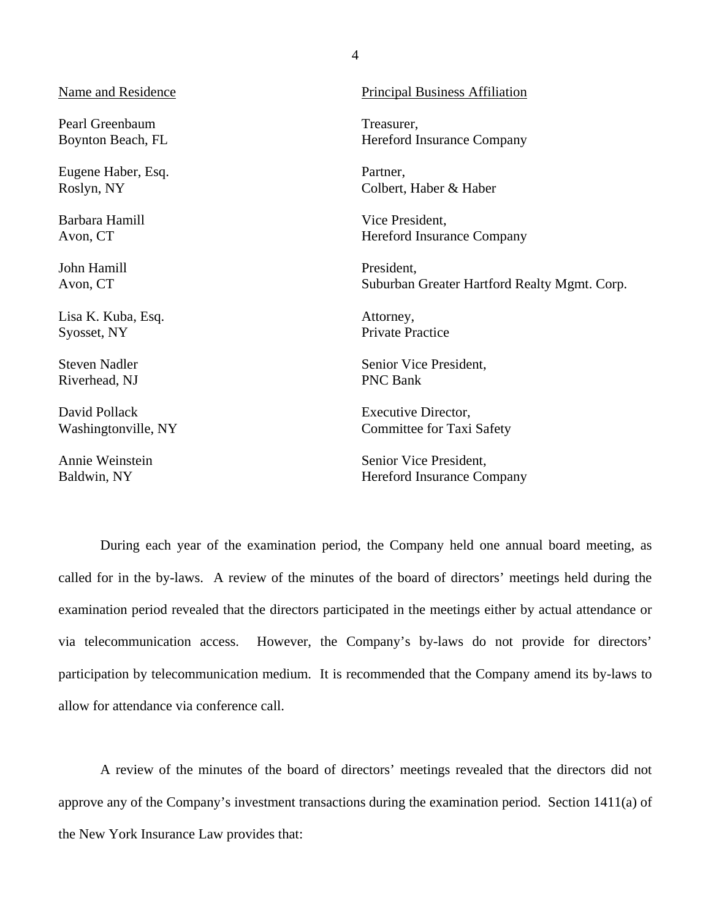Pearl Greenbaum Treasurer,

Eugene Haber, Esq. Partner,

Barbara Hamill Vice President,

John Hamill President,

Lisa K. Kuba, Esq. Attorney, Syosset, NY Private Practice

Riverhead, NJ PNC Bank

David Pollack **Executive Director**,

Name and Residence Principal Business Affiliation

Boynton Beach, FL Hereford Insurance Company

Roslyn, NY Colbert, Haber & Haber

Avon, CT Hereford Insurance Company

Avon, CT Suburban Greater Hartford Realty Mgmt. Corp.

Steven Nadler Senior Vice President,

Washingtonville, NY Committee for Taxi Safety

Annie Weinstein Senior Vice President, Baldwin, NY Hereford Insurance Company

During each year of the examination period, the Company held one annual board meeting, as called for in the by-laws. A review of the minutes of the board of directors' meetings held during the examination period revealed that the directors participated in the meetings either by actual attendance or via telecommunication access. However, the Company's by-laws do not provide for directors' participation by telecommunication medium. It is recommended that the Company amend its by-laws to allow for attendance via conference call.

A review of the minutes of the board of directors' meetings revealed that the directors did not approve any of the Company's investment transactions during the examination period. Section 1411(a) of the New York Insurance Law provides that: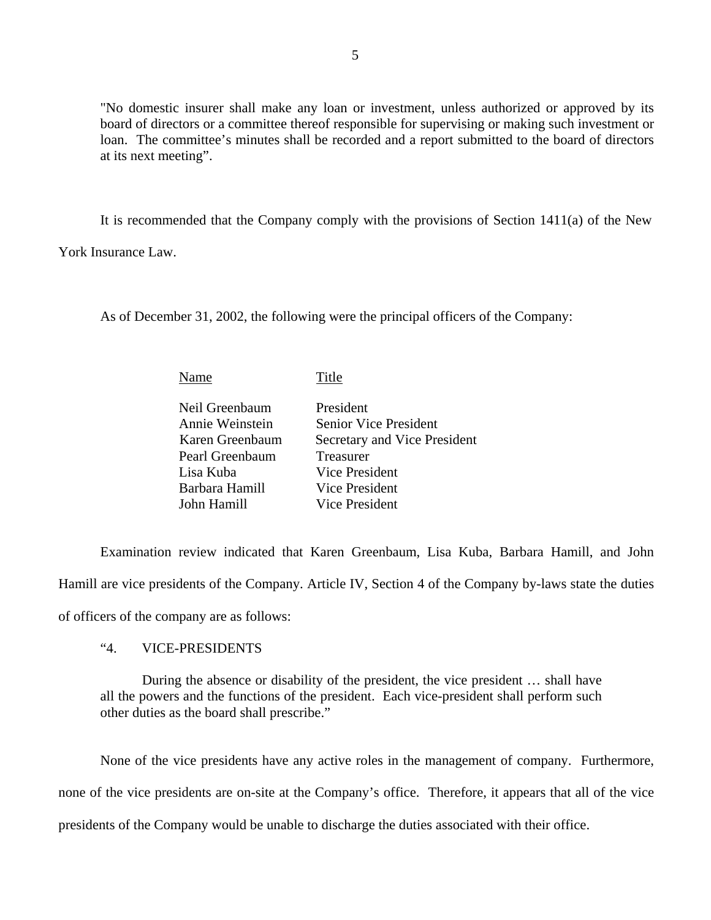"No domestic insurer shall make any loan or investment, unless authorized or approved by its board of directors or a committee thereof responsible for supervising or making such investment or loan. The committee's minutes shall be recorded and a report submitted to the board of directors at its next meeting".

It is recommended that the Company comply with the provisions of Section 1411(a) of the New

York Insurance Law.

As of December 31, 2002, the following were the principal officers of the Company:

| Name            | Title                        |
|-----------------|------------------------------|
| Neil Greenbaum  | President                    |
| Annie Weinstein | <b>Senior Vice President</b> |
| Karen Greenbaum | Secretary and Vice President |
| Pearl Greenbaum | Treasurer                    |
| Lisa Kuba       | Vice President               |
| Barbara Hamill  | Vice President               |
| John Hamill     | Vice President               |

Examination review indicated that Karen Greenbaum, Lisa Kuba, Barbara Hamill, and John Hamill are vice presidents of the Company. Article IV, Section 4 of the Company by-laws state the duties of officers of the company are as follows:

# "4. VICE-PRESIDENTS

During the absence or disability of the president, the vice president … shall have all the powers and the functions of the president. Each vice-president shall perform such other duties as the board shall prescribe."

None of the vice presidents have any active roles in the management of company. Furthermore, none of the vice presidents are on-site at the Company's office. Therefore, it appears that all of the vice presidents of the Company would be unable to discharge the duties associated with their office.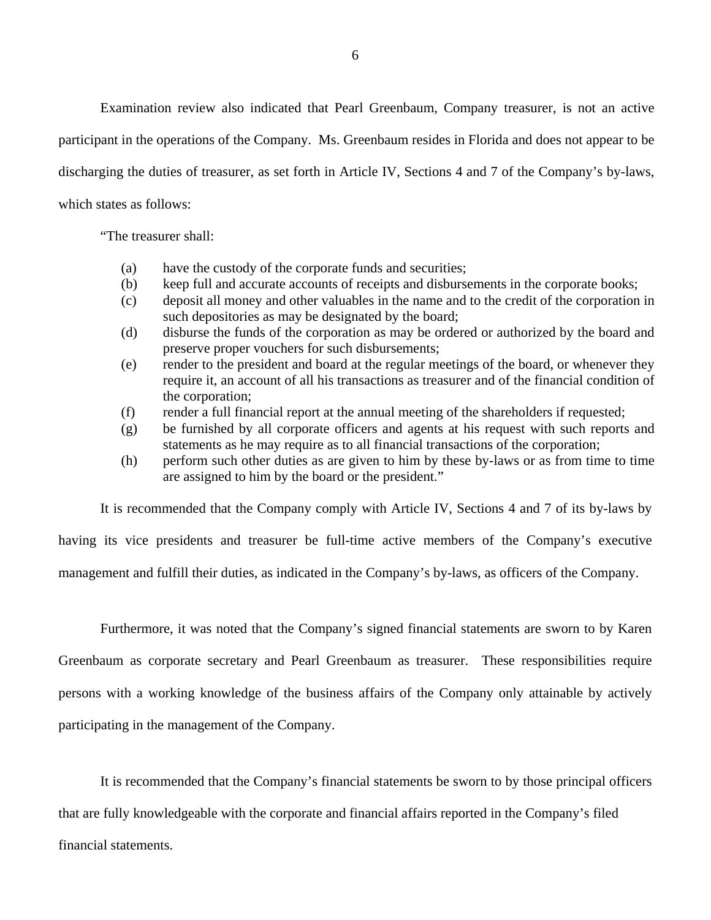Examination review also indicated that Pearl Greenbaum, Company treasurer, is not an active participant in the operations of the Company. Ms. Greenbaum resides in Florida and does not appear to be discharging the duties of treasurer, as set forth in Article IV, Sections 4 and 7 of the Company's by-laws, which states as follows:

"The treasurer shall:

- (a) have the custody of the corporate funds and securities;
- (b) keep full and accurate accounts of receipts and disbursements in the corporate books;
- (c) deposit all money and other valuables in the name and to the credit of the corporation in such depositories as may be designated by the board;
- (d) disburse the funds of the corporation as may be ordered or authorized by the board and preserve proper vouchers for such disbursements;
- (e) render to the president and board at the regular meetings of the board, or whenever they require it, an account of all his transactions as treasurer and of the financial condition of the corporation;
- (f) render a full financial report at the annual meeting of the shareholders if requested;
- (g) be furnished by all corporate officers and agents at his request with such reports and statements as he may require as to all financial transactions of the corporation;
- (h) perform such other duties as are given to him by these by-laws or as from time to time are assigned to him by the board or the president."

It is recommended that the Company comply with Article IV, Sections 4 and 7 of its by-laws by

having its vice presidents and treasurer be full-time active members of the Company's executive

management and fulfill their duties, as indicated in the Company's by-laws, as officers of the Company.

Furthermore, it was noted that the Company's signed financial statements are sworn to by Karen Greenbaum as corporate secretary and Pearl Greenbaum as treasurer. These responsibilities require persons with a working knowledge of the business affairs of the Company only attainable by actively participating in the management of the Company.

It is recommended that the Company's financial statements be sworn to by those principal officers that are fully knowledgeable with the corporate and financial affairs reported in the Company's filed financial statements.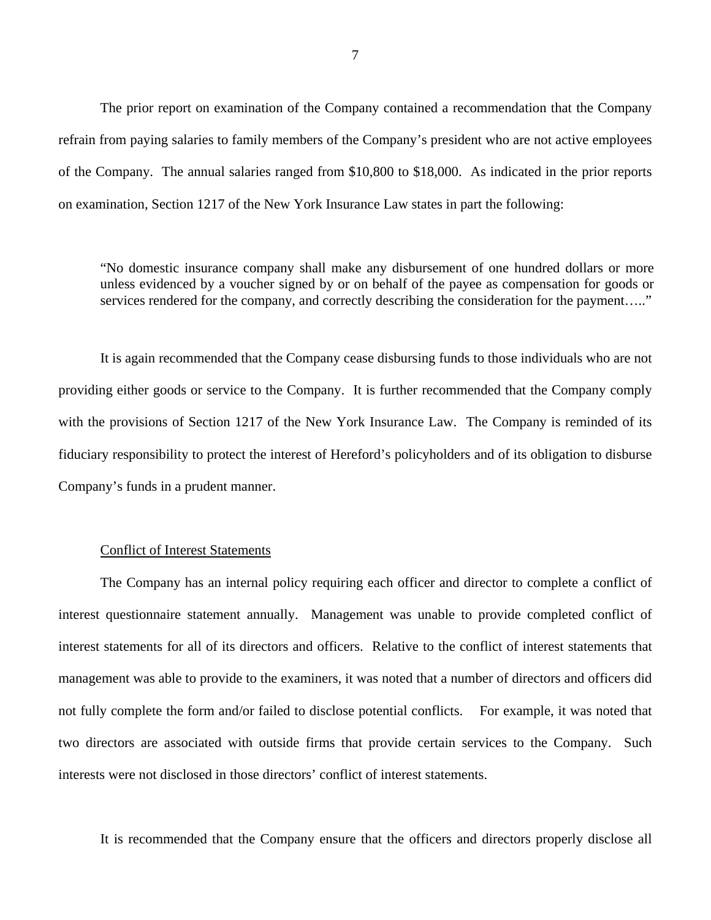The prior report on examination of the Company contained a recommendation that the Company refrain from paying salaries to family members of the Company's president who are not active employees of the Company. The annual salaries ranged from \$10,800 to \$18,000. As indicated in the prior reports on examination, Section 1217 of the New York Insurance Law states in part the following:

"No domestic insurance company shall make any disbursement of one hundred dollars or more unless evidenced by a voucher signed by or on behalf of the payee as compensation for goods or services rendered for the company, and correctly describing the consideration for the payment....."

It is again recommended that the Company cease disbursing funds to those individuals who are not providing either goods or service to the Company. It is further recommended that the Company comply with the provisions of Section 1217 of the New York Insurance Law. The Company is reminded of its fiduciary responsibility to protect the interest of Hereford's policyholders and of its obligation to disburse Company's funds in a prudent manner.

## Conflict of Interest Statements

The Company has an internal policy requiring each officer and director to complete a conflict of interest questionnaire statement annually. Management was unable to provide completed conflict of interest statements for all of its directors and officers. Relative to the conflict of interest statements that management was able to provide to the examiners, it was noted that a number of directors and officers did not fully complete the form and/or failed to disclose potential conflicts. For example, it was noted that two directors are associated with outside firms that provide certain services to the Company. Such interests were not disclosed in those directors' conflict of interest statements.

It is recommended that the Company ensure that the officers and directors properly disclose all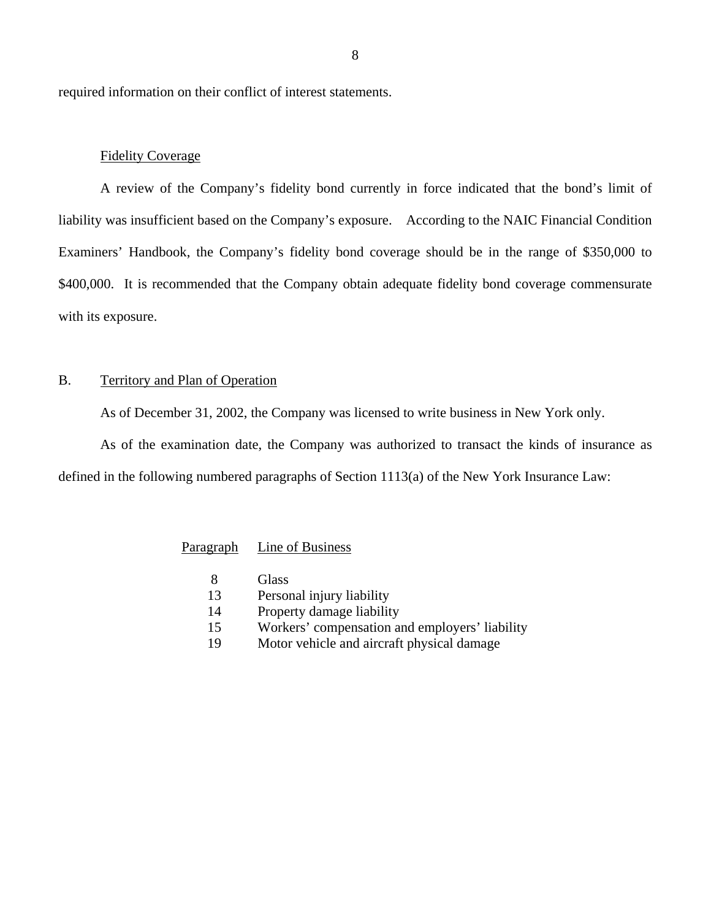<span id="page-9-0"></span>required information on their conflict of interest statements.

## Fidelity Coverage

A review of the Company's fidelity bond currently in force indicated that the bond's limit of liability was insufficient based on the Company's exposure. According to the NAIC Financial Condition Examiners' Handbook, the Company's fidelity bond coverage should be in the range of \$350,000 to \$400,000. It is recommended that the Company obtain adequate fidelity bond coverage commensurate with its exposure.

## B. Territory and Plan of Operation

As of December 31, 2002, the Company was licensed to write business in New York only.

As of the examination date, the Company was authorized to transact the kinds of insurance as defined in the following numbered paragraphs of Section 1113(a) of the New York Insurance Law:

## Paragraph Line of Business

- 8 Glass
- 13 Personal injury liability
- 14 Property damage liability
- 15 Workers' compensation and employers' liability
- 19 Motor vehicle and aircraft physical damage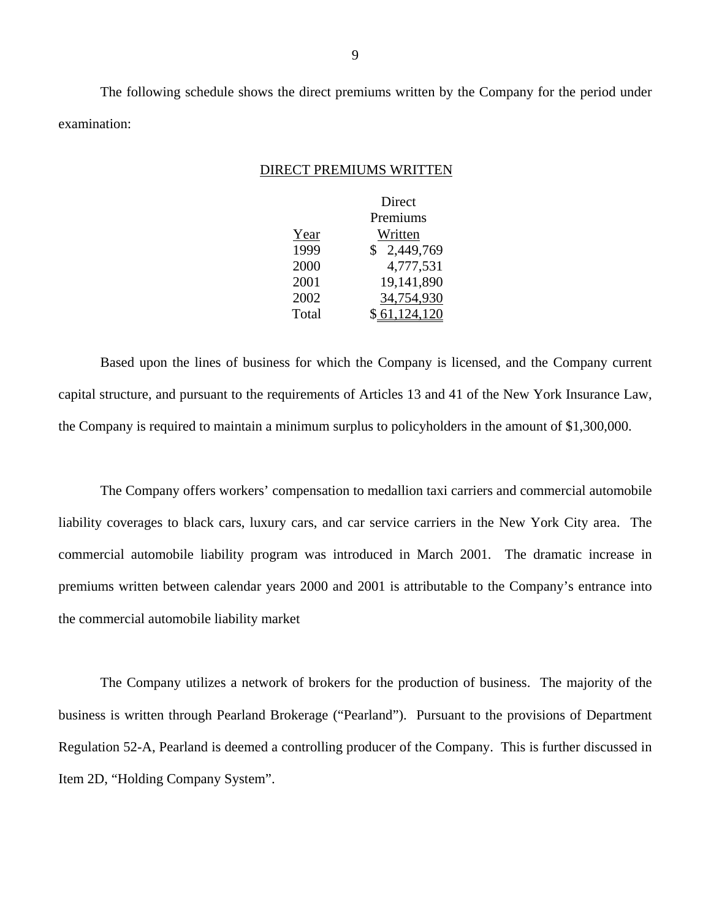The following schedule shows the direct premiums written by the Company for the period under examination:

#### DIRECT PREMIUMS WRITTEN

|       | Direct        |
|-------|---------------|
|       | Premiums      |
| Year  | Written       |
| 1999  | \$2,449,769   |
| 2000  | 4,777,531     |
| 2001  | 19,141,890    |
| 2002  | 34,754,930    |
| Total | \$ 61.124.120 |

Based upon the lines of business for which the Company is licensed, and the Company current capital structure, and pursuant to the requirements of Articles 13 and 41 of the New York Insurance Law, the Company is required to maintain a minimum surplus to policyholders in the amount of \$1,300,000.

The Company offers workers' compensation to medallion taxi carriers and commercial automobile liability coverages to black cars, luxury cars, and car service carriers in the New York City area. The commercial automobile liability program was introduced in March 2001. The dramatic increase in premiums written between calendar years 2000 and 2001 is attributable to the Company's entrance into the commercial automobile liability market

The Company utilizes a network of brokers for the production of business. The majority of the business is written through Pearland Brokerage ("Pearland"). Pursuant to the provisions of Department Regulation 52-A, Pearland is deemed a controlling producer of the Company. This is further discussed in Item 2D, "Holding Company System".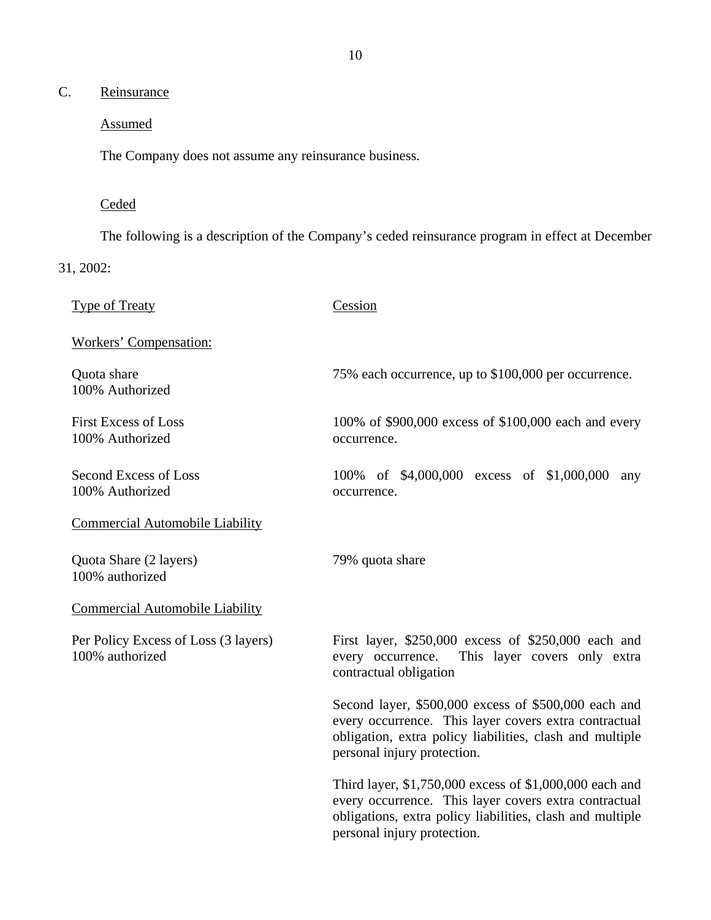# <span id="page-11-0"></span>C. Reinsurance

## Assumed

The Company does not assume any reinsurance business.

## Ceded

The following is a description of the Company's ceded reinsurance program in effect at December

31, 2002:

Type of Treaty Cession Workers' Compensation: Quota share 75% each occurrence, up to \$100,000 per occurrence. 100% Authorized First Excess of Loss 100% of \$900,000 excess of \$100,000 each and every 100% Authorized occurrence. Second Excess of Loss 100% of \$4,000,000 excess of \$1,000,000 any 100% Authorized occurrence. Commercial Automobile Liability Quota Share (2 layers) 79% quota share 100% authorized Commercial Automobile Liability Per Policy Excess of Loss (3 layers) First layer, \$250,000 excess of \$250,000 each and 100% authorized every occurrence. This layer covers only extra contractual obligation Second layer, \$500,000 excess of \$500,000 each and every occurrence. This layer covers extra contractual obligation, extra policy liabilities, clash and multiple

> Third layer, \$1,750,000 excess of \$1,000,000 each and every occurrence. This layer covers extra contractual obligations, extra policy liabilities, clash and multiple personal injury protection.

personal injury protection.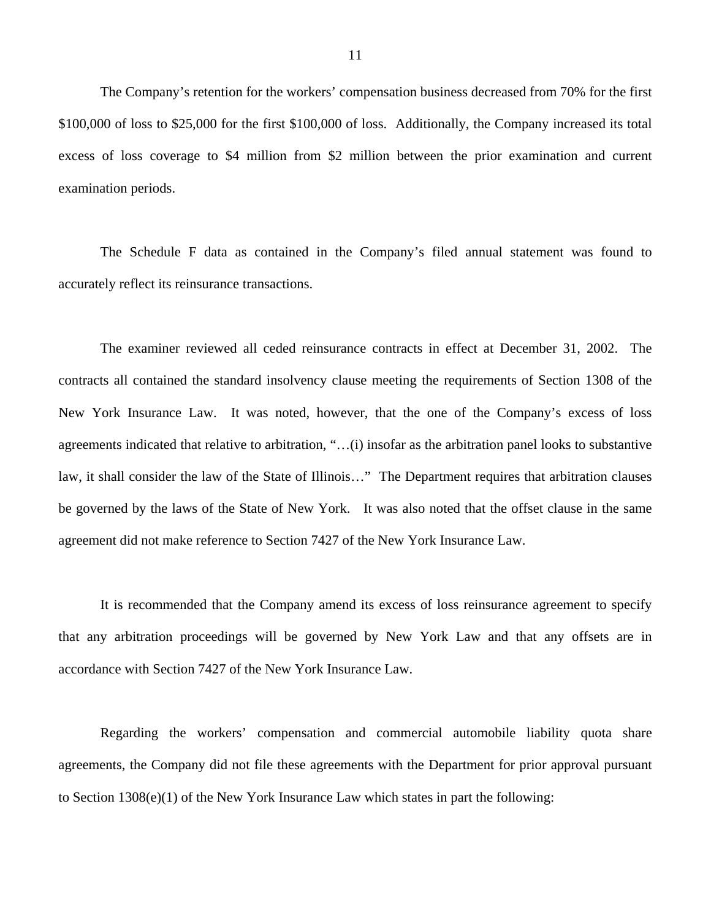The Company's retention for the workers' compensation business decreased from 70% for the first \$100,000 of loss to \$25,000 for the first \$100,000 of loss. Additionally, the Company increased its total excess of loss coverage to \$4 million from \$2 million between the prior examination and current examination periods.

The Schedule F data as contained in the Company's filed annual statement was found to accurately reflect its reinsurance transactions.

The examiner reviewed all ceded reinsurance contracts in effect at December 31, 2002. The contracts all contained the standard insolvency clause meeting the requirements of Section 1308 of the New York Insurance Law. It was noted, however, that the one of the Company's excess of loss agreements indicated that relative to arbitration, "…(i) insofar as the arbitration panel looks to substantive law, it shall consider the law of the State of Illinois…" The Department requires that arbitration clauses be governed by the laws of the State of New York. It was also noted that the offset clause in the same agreement did not make reference to Section 7427 of the New York Insurance Law.

It is recommended that the Company amend its excess of loss reinsurance agreement to specify that any arbitration proceedings will be governed by New York Law and that any offsets are in accordance with Section 7427 of the New York Insurance Law.

Regarding the workers' compensation and commercial automobile liability quota share agreements, the Company did not file these agreements with the Department for prior approval pursuant to Section 1308(e)(1) of the New York Insurance Law which states in part the following: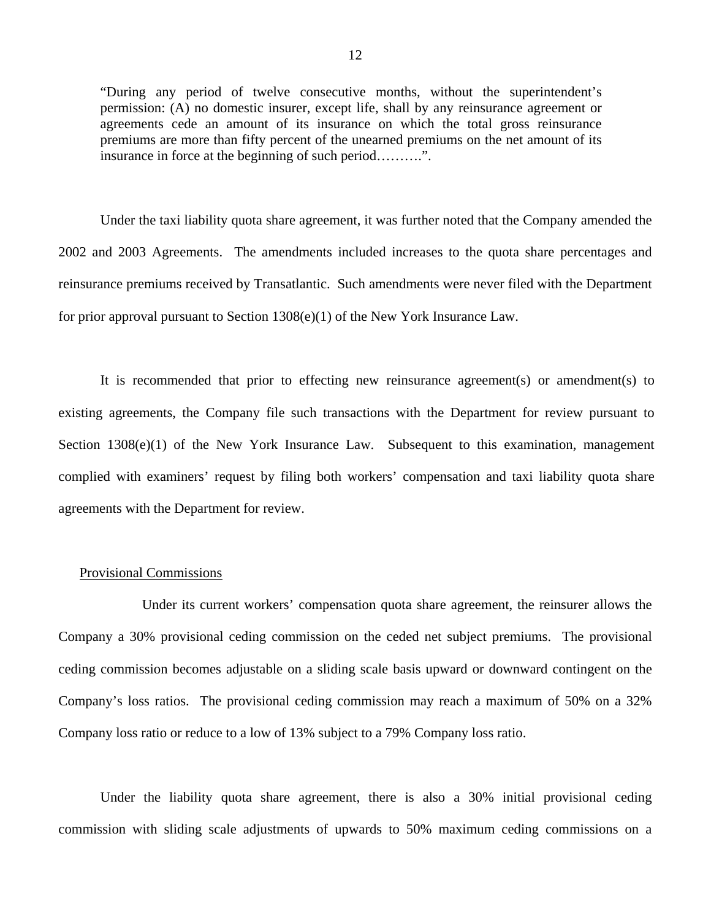"During any period of twelve consecutive months, without the superintendent's permission: (A) no domestic insurer, except life, shall by any reinsurance agreement or agreements cede an amount of its insurance on which the total gross reinsurance premiums are more than fifty percent of the unearned premiums on the net amount of its insurance in force at the beginning of such period……….".

Under the taxi liability quota share agreement, it was further noted that the Company amended the 2002 and 2003 Agreements. The amendments included increases to the quota share percentages and reinsurance premiums received by Transatlantic. Such amendments were never filed with the Department for prior approval pursuant to Section 1308(e)(1) of the New York Insurance Law.

It is recommended that prior to effecting new reinsurance agreement(s) or amendment(s) to existing agreements, the Company file such transactions with the Department for review pursuant to Section 1308(e)(1) of the New York Insurance Law. Subsequent to this examination, management complied with examiners' request by filing both workers' compensation and taxi liability quota share agreements with the Department for review.

### Provisional Commissions

Under its current workers' compensation quota share agreement, the reinsurer allows the Company a 30% provisional ceding commission on the ceded net subject premiums. The provisional ceding commission becomes adjustable on a sliding scale basis upward or downward contingent on the Company's loss ratios. The provisional ceding commission may reach a maximum of 50% on a 32% Company loss ratio or reduce to a low of 13% subject to a 79% Company loss ratio.

Under the liability quota share agreement, there is also a 30% initial provisional ceding commission with sliding scale adjustments of upwards to 50% maximum ceding commissions on a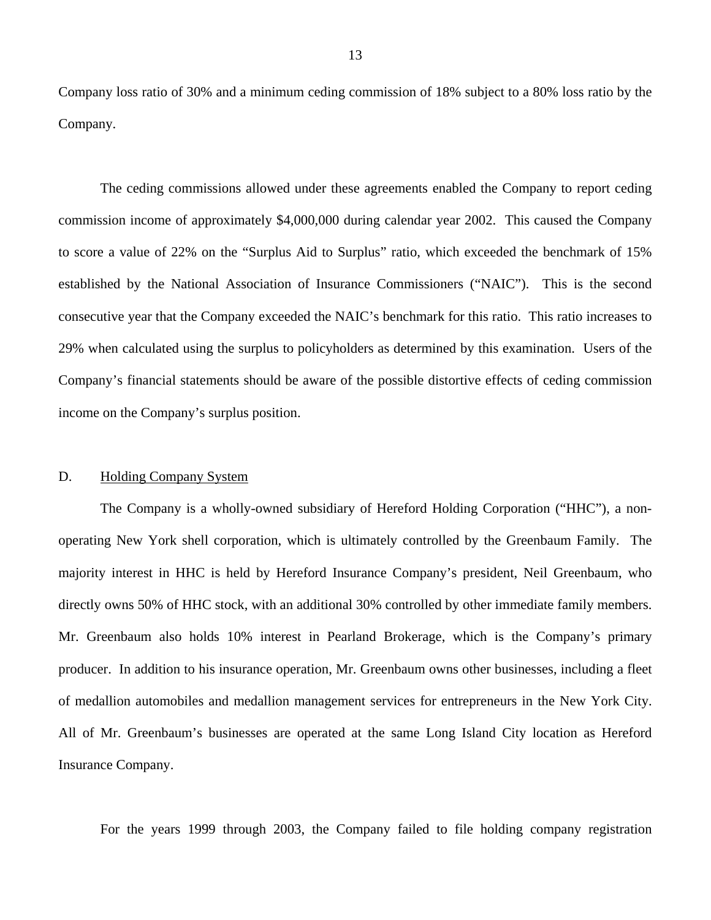<span id="page-14-0"></span>Company loss ratio of 30% and a minimum ceding commission of 18% subject to a 80% loss ratio by the Company.

The ceding commissions allowed under these agreements enabled the Company to report ceding commission income of approximately \$4,000,000 during calendar year 2002. This caused the Company to score a value of 22% on the "Surplus Aid to Surplus" ratio, which exceeded the benchmark of 15% established by the National Association of Insurance Commissioners ("NAIC"). This is the second consecutive year that the Company exceeded the NAIC's benchmark for this ratio. This ratio increases to 29% when calculated using the surplus to policyholders as determined by this examination. Users of the Company's financial statements should be aware of the possible distortive effects of ceding commission income on the Company's surplus position.

### D. Holding Company System

The Company is a wholly-owned subsidiary of Hereford Holding Corporation ("HHC"), a nonoperating New York shell corporation, which is ultimately controlled by the Greenbaum Family. The majority interest in HHC is held by Hereford Insurance Company's president, Neil Greenbaum, who directly owns 50% of HHC stock, with an additional 30% controlled by other immediate family members. Mr. Greenbaum also holds 10% interest in Pearland Brokerage, which is the Company's primary producer. In addition to his insurance operation, Mr. Greenbaum owns other businesses, including a fleet of medallion automobiles and medallion management services for entrepreneurs in the New York City. All of Mr. Greenbaum's businesses are operated at the same Long Island City location as Hereford Insurance Company.

For the years 1999 through 2003, the Company failed to file holding company registration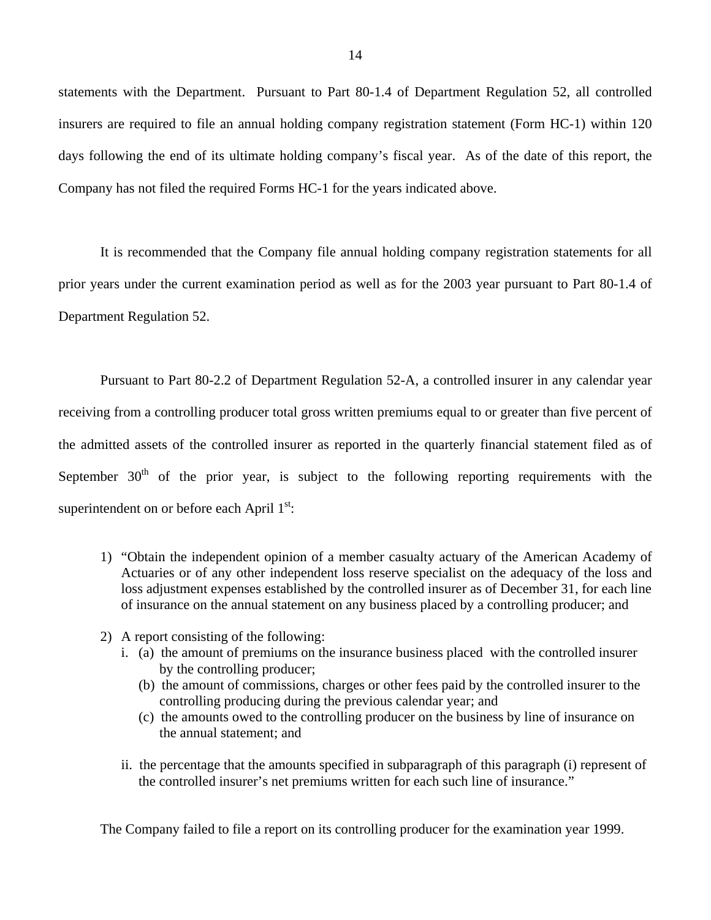statements with the Department. Pursuant to Part 80-1.4 of Department Regulation 52, all controlled insurers are required to file an annual holding company registration statement (Form HC-1) within 120 days following the end of its ultimate holding company's fiscal year. As of the date of this report, the Company has not filed the required Forms HC-1 for the years indicated above.

It is recommended that the Company file annual holding company registration statements for all prior years under the current examination period as well as for the 2003 year pursuant to Part 80-1.4 of Department Regulation 52.

Pursuant to Part 80-2.2 of Department Regulation 52-A, a controlled insurer in any calendar year receiving from a controlling producer total gross written premiums equal to or greater than five percent of the admitted assets of the controlled insurer as reported in the quarterly financial statement filed as of September  $30<sup>th</sup>$  of the prior year, is subject to the following reporting requirements with the superintendent on or before each April  $1<sup>st</sup>$ :

- 1) "Obtain the independent opinion of a member casualty actuary of the American Academy of Actuaries or of any other independent loss reserve specialist on the adequacy of the loss and loss adjustment expenses established by the controlled insurer as of December 31, for each line of insurance on the annual statement on any business placed by a controlling producer; and
- 2) A report consisting of the following:
	- i. (a) the amount of premiums on the insurance business placed with the controlled insurer by the controlling producer;
		- (b) the amount of commissions, charges or other fees paid by the controlled insurer to the controlling producing during the previous calendar year; and
		- (c) the amounts owed to the controlling producer on the business by line of insurance on the annual statement; and
	- ii. the percentage that the amounts specified in subparagraph of this paragraph (i) represent of the controlled insurer's net premiums written for each such line of insurance."

The Company failed to file a report on its controlling producer for the examination year 1999.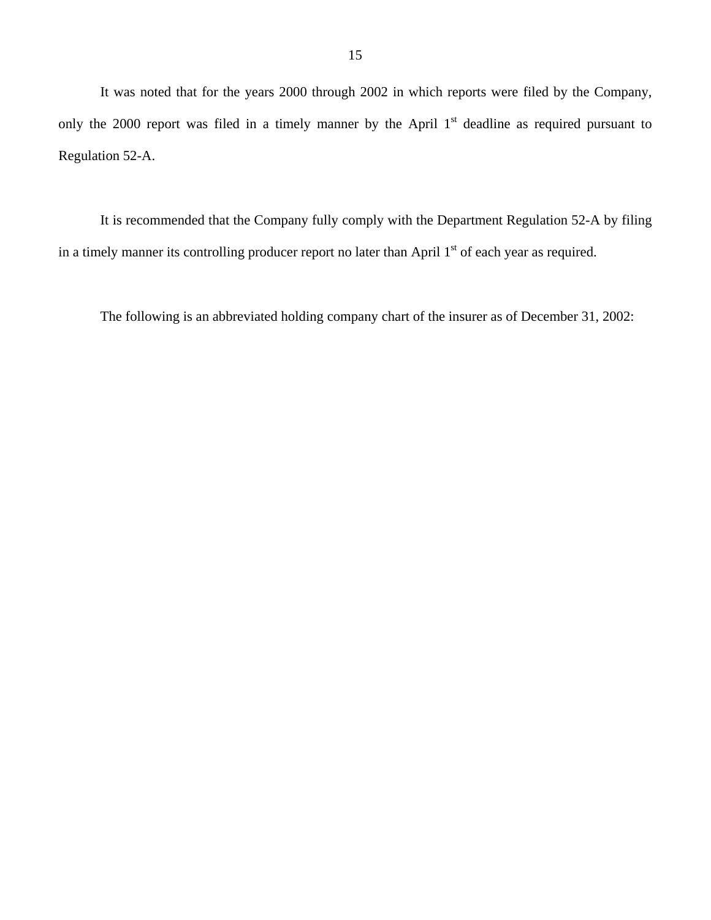It was noted that for the years 2000 through 2002 in which reports were filed by the Company, only the 2000 report was filed in a timely manner by the April  $1<sup>st</sup>$  deadline as required pursuant to Regulation 52-A.

It is recommended that the Company fully comply with the Department Regulation 52-A by filing in a timely manner its controlling producer report no later than April 1<sup>st</sup> of each year as required.

The following is an abbreviated holding company chart of the insurer as of December 31, 2002: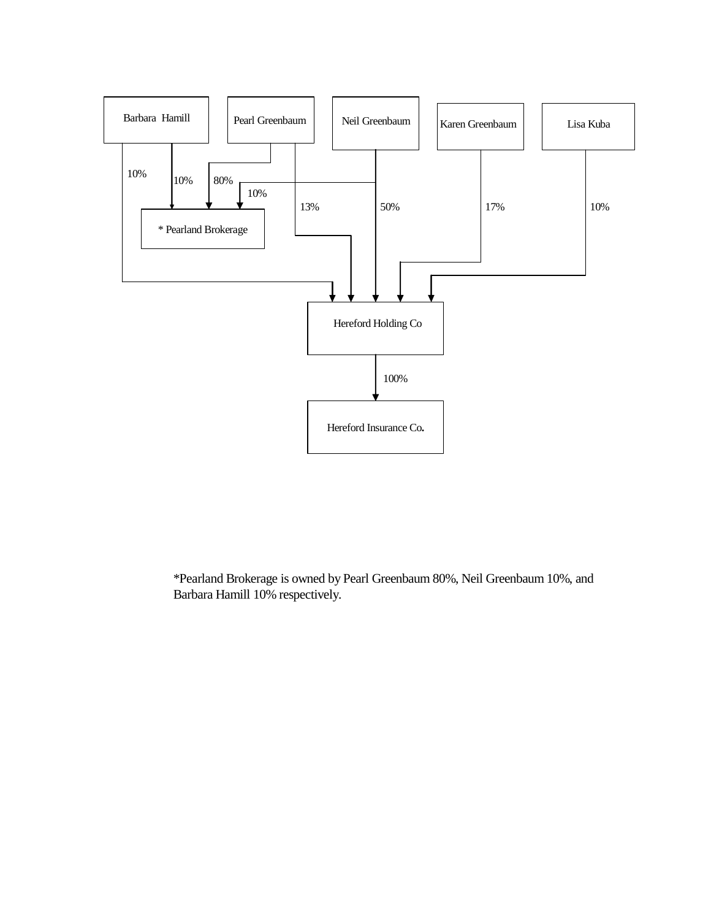

\*Pearland Brokerage is owned by Pearl Greenbaum 80%, Neil Greenbaum 10%, and Barbara Hamill 10% respectively.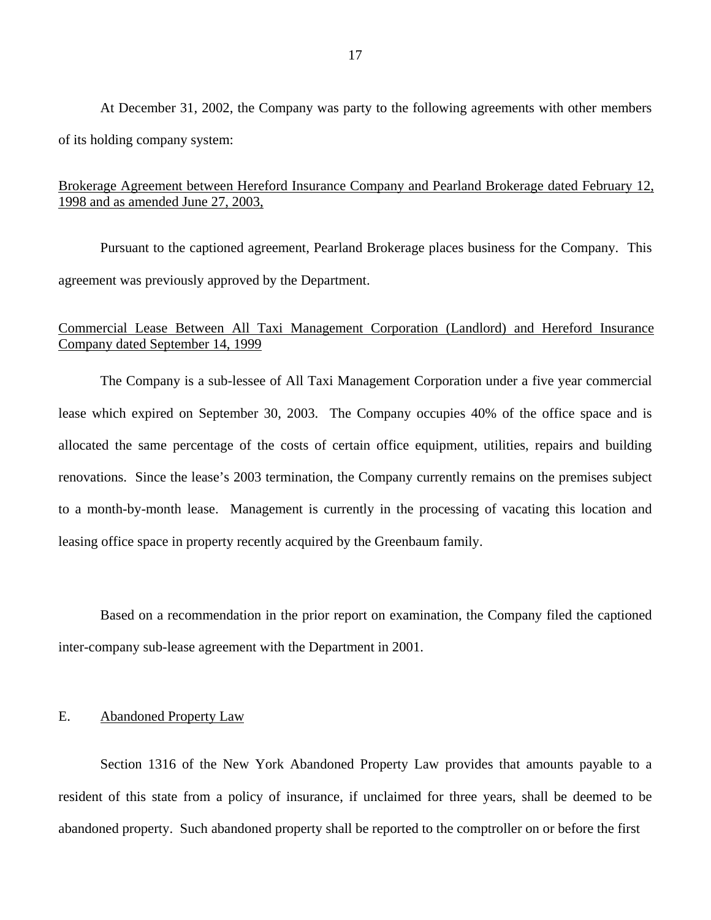<span id="page-18-0"></span>At December 31, 2002, the Company was party to the following agreements with other members of its holding company system:

# Brokerage Agreement between Hereford Insurance Company and Pearland Brokerage dated February 12, 1998 and as amended June 27, 2003,

Pursuant to the captioned agreement, Pearland Brokerage places business for the Company. This agreement was previously approved by the Department.

# Commercial Lease Between All Taxi Management Corporation (Landlord) and Hereford Insurance Company dated September 14, 1999

The Company is a sub-lessee of All Taxi Management Corporation under a five year commercial lease which expired on September 30, 2003. The Company occupies 40% of the office space and is allocated the same percentage of the costs of certain office equipment, utilities, repairs and building renovations. Since the lease's 2003 termination, the Company currently remains on the premises subject to a month-by-month lease. Management is currently in the processing of vacating this location and leasing office space in property recently acquired by the Greenbaum family.

Based on a recommendation in the prior report on examination, the Company filed the captioned inter-company sub-lease agreement with the Department in 2001.

## E. Abandoned Property Law

Section 1316 of the New York Abandoned Property Law provides that amounts payable to a resident of this state from a policy of insurance, if unclaimed for three years, shall be deemed to be abandoned property. Such abandoned property shall be reported to the comptroller on or before the first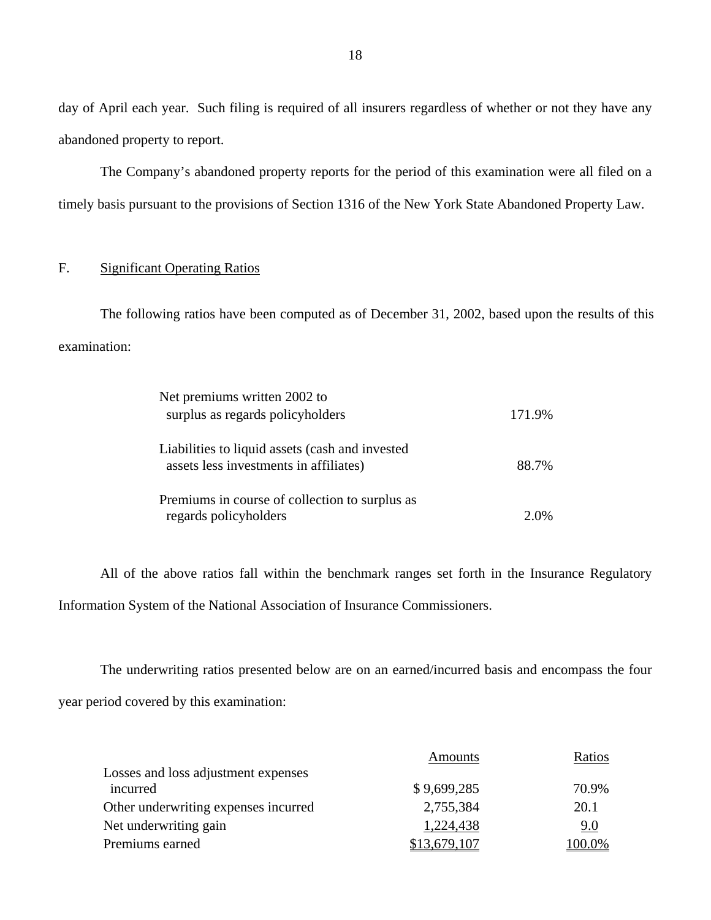day of April each year. Such filing is required of all insurers regardless of whether or not they have any abandoned property to report.

The Company's abandoned property reports for the period of this examination were all filed on a timely basis pursuant to the provisions of Section 1316 of the New York State Abandoned Property Law.

## F. Significant Operating Ratios

The following ratios have been computed as of December 31, 2002, based upon the results of this examination:

| Net premiums written 2002 to                    |        |
|-------------------------------------------------|--------|
| surplus as regards policyholders                | 171.9% |
|                                                 |        |
| Liabilities to liquid assets (cash and invested |        |
| assets less investments in affiliates)          | 88.7%  |
|                                                 |        |
| Premiums in course of collection to surplus as  |        |
| regards policyholders                           | 2.0%   |

All of the above ratios fall within the benchmark ranges set forth in the Insurance Regulatory Information System of the National Association of Insurance Commissioners.

The underwriting ratios presented below are on an earned/incurred basis and encompass the four year period covered by this examination:

|                                      | Amounts     | Ratios |
|--------------------------------------|-------------|--------|
| Losses and loss adjustment expenses  |             |        |
| incurred                             | \$9,699,285 | 70.9%  |
| Other underwriting expenses incurred | 2,755,384   | 20.1   |
| Net underwriting gain                | 1,224,438   | 9.0    |
| Premiums earned                      |             | 100.0% |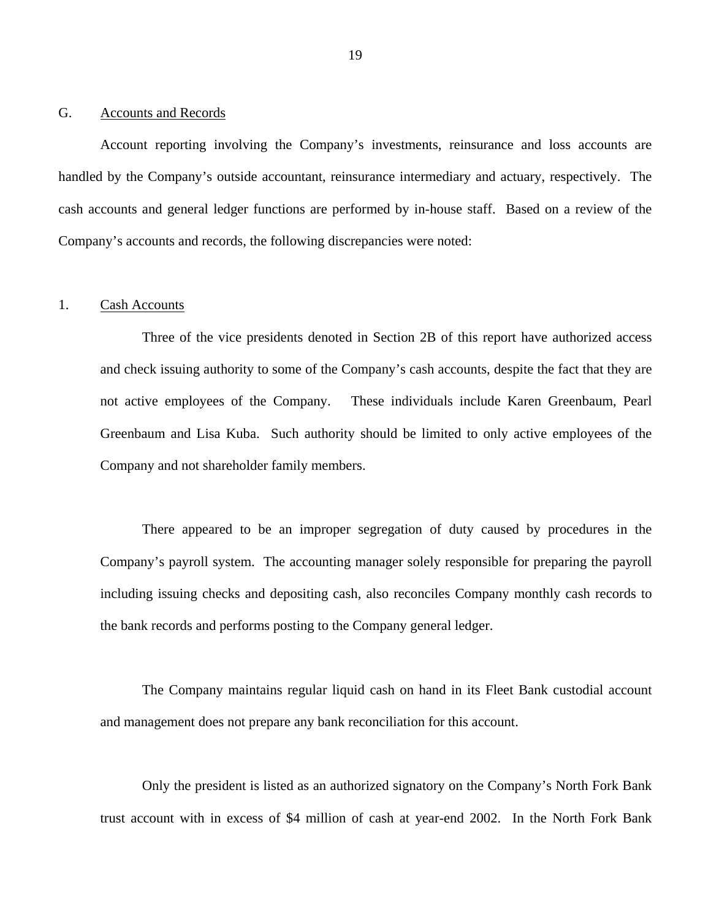#### <span id="page-20-0"></span>G. Accounts and Records

Account reporting involving the Company's investments, reinsurance and loss accounts are handled by the Company's outside accountant, reinsurance intermediary and actuary, respectively. The cash accounts and general ledger functions are performed by in-house staff. Based on a review of the Company's accounts and records, the following discrepancies were noted:

## 1. Cash Accounts

Three of the vice presidents denoted in Section 2B of this report have authorized access and check issuing authority to some of the Company's cash accounts, despite the fact that they are not active employees of the Company. These individuals include Karen Greenbaum, Pearl Greenbaum and Lisa Kuba. Such authority should be limited to only active employees of the Company and not shareholder family members.

There appeared to be an improper segregation of duty caused by procedures in the Company's payroll system. The accounting manager solely responsible for preparing the payroll including issuing checks and depositing cash, also reconciles Company monthly cash records to the bank records and performs posting to the Company general ledger.

The Company maintains regular liquid cash on hand in its Fleet Bank custodial account and management does not prepare any bank reconciliation for this account.

Only the president is listed as an authorized signatory on the Company's North Fork Bank trust account with in excess of \$4 million of cash at year-end 2002. In the North Fork Bank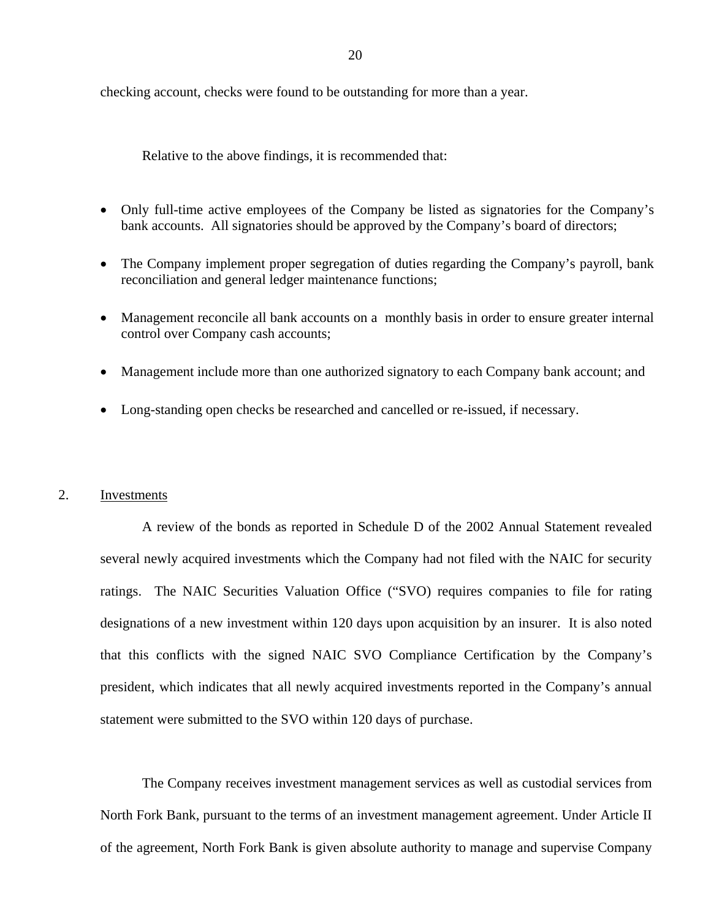checking account, checks were found to be outstanding for more than a year.

Relative to the above findings, it is recommended that:

- Only full-time active employees of the Company be listed as signatories for the Company's bank accounts. All signatories should be approved by the Company's board of directors;
- The Company implement proper segregation of duties regarding the Company's payroll, bank reconciliation and general ledger maintenance functions;
- Management reconcile all bank accounts on a monthly basis in order to ensure greater internal control over Company cash accounts;
- Management include more than one authorized signatory to each Company bank account; and
- Long-standing open checks be researched and cancelled or re-issued, if necessary.

## 2. Investments

A review of the bonds as reported in Schedule D of the 2002 Annual Statement revealed several newly acquired investments which the Company had not filed with the NAIC for security ratings. The NAIC Securities Valuation Office ("SVO) requires companies to file for rating designations of a new investment within 120 days upon acquisition by an insurer. It is also noted that this conflicts with the signed NAIC SVO Compliance Certification by the Company's president, which indicates that all newly acquired investments reported in the Company's annual statement were submitted to the SVO within 120 days of purchase.

The Company receives investment management services as well as custodial services from North Fork Bank, pursuant to the terms of an investment management agreement. Under Article II of the agreement, North Fork Bank is given absolute authority to manage and supervise Company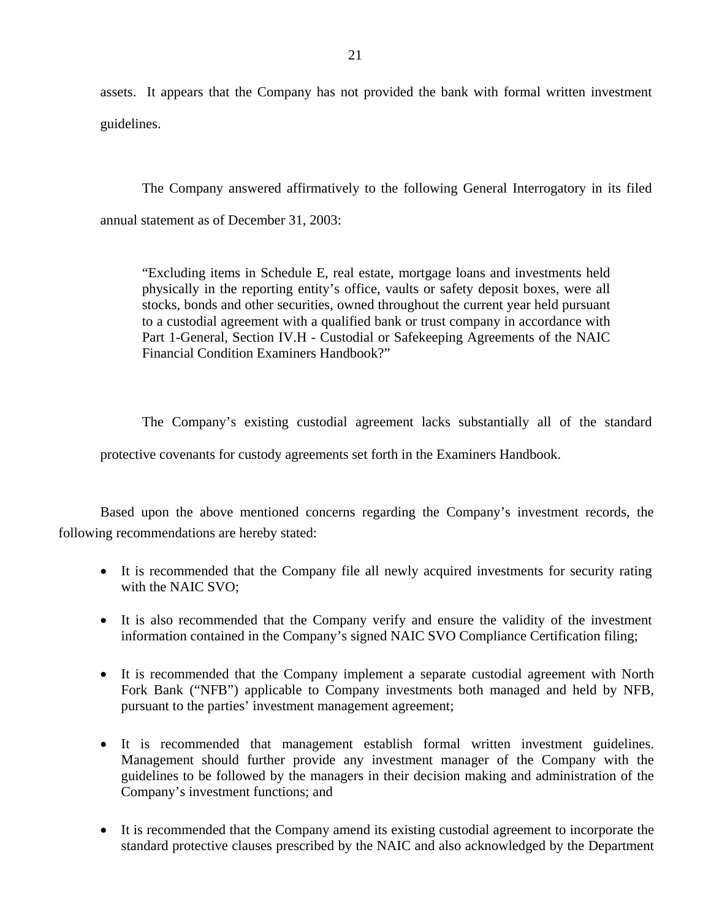assets. It appears that the Company has not provided the bank with formal written investment guidelines.

The Company answered affirmatively to the following General Interrogatory in its filed annual statement as of December 31, 2003:

"Excluding items in Schedule E, real estate, mortgage loans and investments held physically in the reporting entity's office, vaults or safety deposit boxes, were all stocks, bonds and other securities, owned throughout the current year held pursuant to a custodial agreement with a qualified bank or trust company in accordance with Part 1-General, Section IV.H - Custodial or Safekeeping Agreements of the NAIC Financial Condition Examiners Handbook?"

The Company's existing custodial agreement lacks substantially all of the standard

protective covenants for custody agreements set forth in the Examiners Handbook.

Based upon the above mentioned concerns regarding the Company's investment records, the following recommendations are hereby stated:

- It is recommended that the Company file all newly acquired investments for security rating with the NAIC SVO;
- It is also recommended that the Company verify and ensure the validity of the investment information contained in the Company's signed NAIC SVO Compliance Certification filing;
- It is recommended that the Company implement a separate custodial agreement with North Fork Bank ("NFB") applicable to Company investments both managed and held by NFB, pursuant to the parties' investment management agreement;
- It is recommended that management establish formal written investment guidelines. Management should further provide any investment manager of the Company with the guidelines to be followed by the managers in their decision making and administration of the Company's investment functions; and
- It is recommended that the Company amend its existing custodial agreement to incorporate the standard protective clauses prescribed by the NAIC and also acknowledged by the Department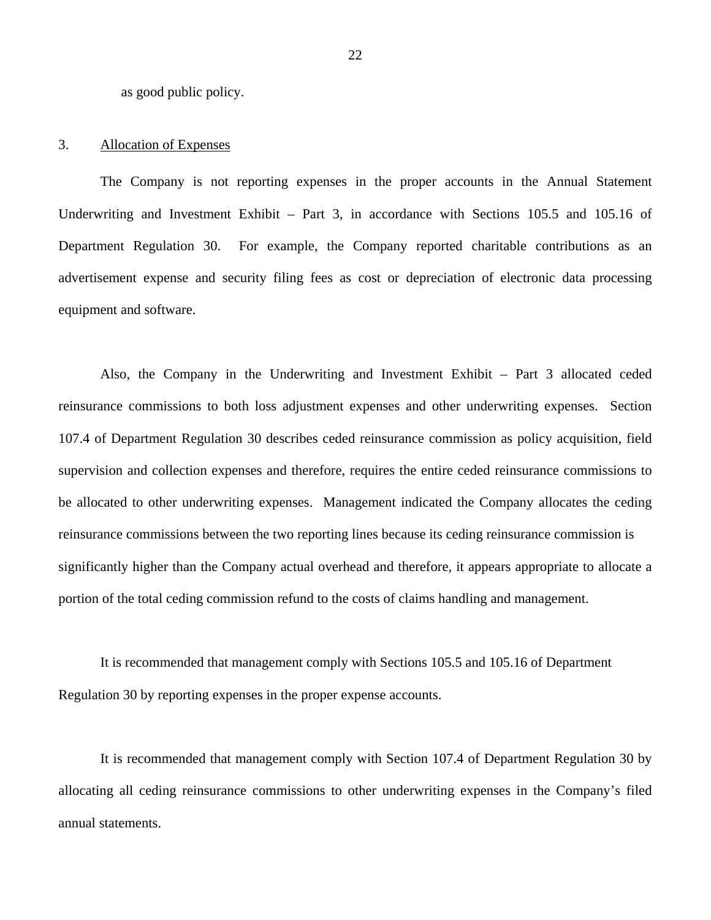as good public policy.

#### 3. Allocation of Expenses

The Company is not reporting expenses in the proper accounts in the Annual Statement Underwriting and Investment Exhibit – Part 3, in accordance with Sections 105.5 and 105.16 of Department Regulation 30. For example, the Company reported charitable contributions as an advertisement expense and security filing fees as cost or depreciation of electronic data processing equipment and software.

Also, the Company in the Underwriting and Investment Exhibit – Part 3 allocated ceded reinsurance commissions to both loss adjustment expenses and other underwriting expenses. Section 107.4 of Department Regulation 30 describes ceded reinsurance commission as policy acquisition, field supervision and collection expenses and therefore, requires the entire ceded reinsurance commissions to be allocated to other underwriting expenses. Management indicated the Company allocates the ceding reinsurance commissions between the two reporting lines because its ceding reinsurance commission is significantly higher than the Company actual overhead and therefore, it appears appropriate to allocate a portion of the total ceding commission refund to the costs of claims handling and management.

It is recommended that management comply with Sections 105.5 and 105.16 of Department Regulation 30 by reporting expenses in the proper expense accounts.

It is recommended that management comply with Section 107.4 of Department Regulation 30 by allocating all ceding reinsurance commissions to other underwriting expenses in the Company's filed annual statements.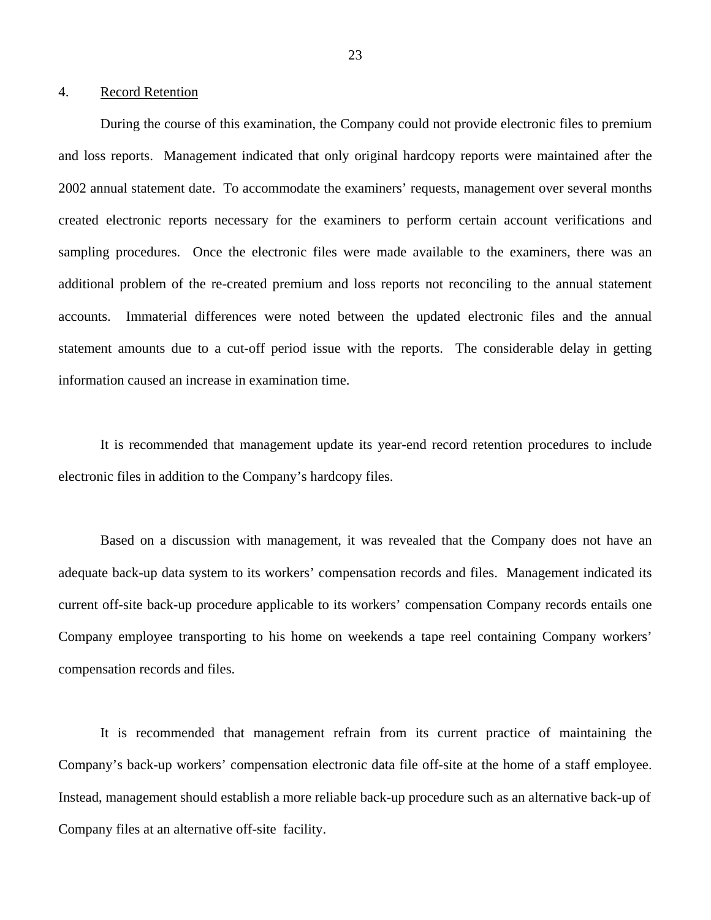## 4. Record Retention

During the course of this examination, the Company could not provide electronic files to premium and loss reports. Management indicated that only original hardcopy reports were maintained after the 2002 annual statement date. To accommodate the examiners' requests, management over several months created electronic reports necessary for the examiners to perform certain account verifications and sampling procedures. Once the electronic files were made available to the examiners, there was an additional problem of the re-created premium and loss reports not reconciling to the annual statement accounts. Immaterial differences were noted between the updated electronic files and the annual statement amounts due to a cut-off period issue with the reports. The considerable delay in getting information caused an increase in examination time.

It is recommended that management update its year-end record retention procedures to include electronic files in addition to the Company's hardcopy files.

Based on a discussion with management, it was revealed that the Company does not have an adequate back-up data system to its workers' compensation records and files. Management indicated its current off-site back-up procedure applicable to its workers' compensation Company records entails one Company employee transporting to his home on weekends a tape reel containing Company workers' compensation records and files.

It is recommended that management refrain from its current practice of maintaining the Company's back-up workers' compensation electronic data file off-site at the home of a staff employee. Instead, management should establish a more reliable back-up procedure such as an alternative back-up of Company files at an alternative off-site facility.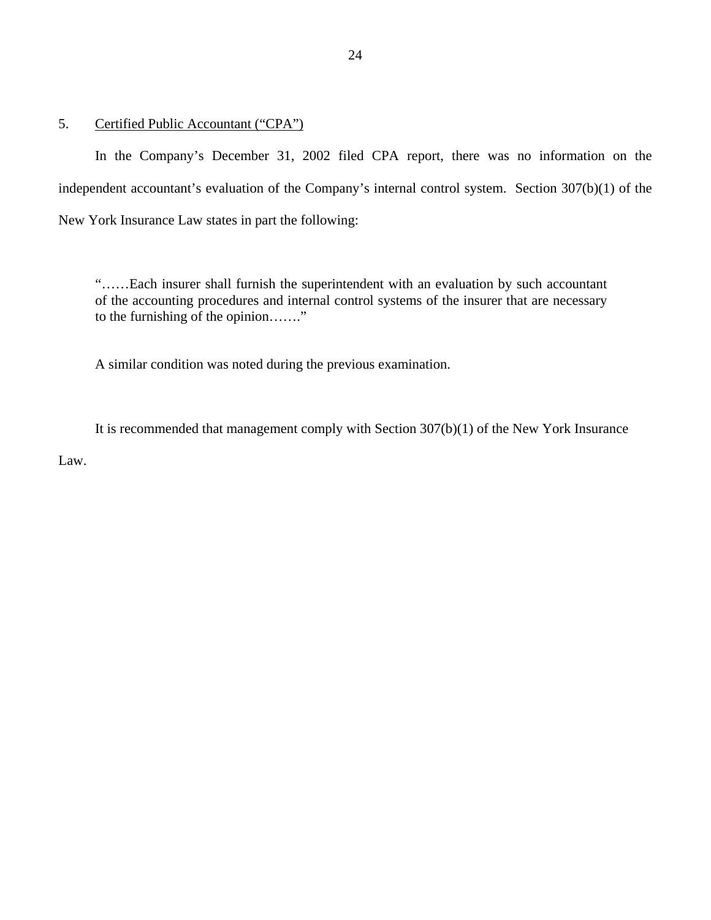5. Certified Public Accountant ("CPA")

In the Company's December 31, 2002 filed CPA report, there was no information on the independent accountant's evaluation of the Company's internal control system. Section 307(b)(1) of the New York Insurance Law states in part the following:

"……Each insurer shall furnish the superintendent with an evaluation by such accountant of the accounting procedures and internal control systems of the insurer that are necessary to the furnishing of the opinion……."

A similar condition was noted during the previous examination.

It is recommended that management comply with Section 307(b)(1) of the New York Insurance Law.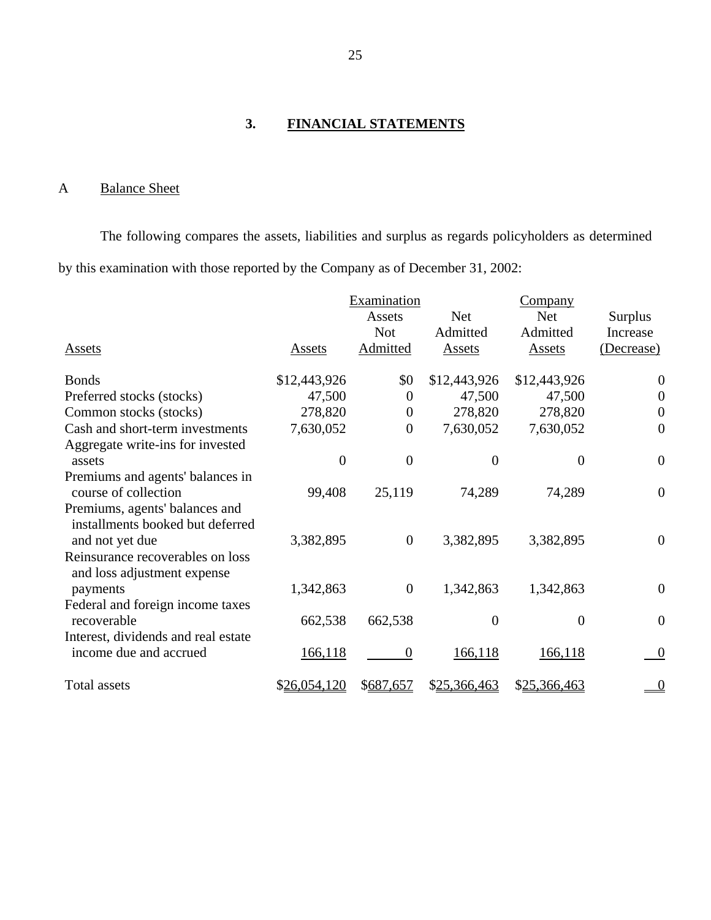# **3. FINANCIAL STATEMENTS**

# A Balance Sheet

The following compares the assets, liabilities and surplus as regards policyholders as determined by this examination with those reported by the Company as of December 31, 2002:

|                                                                    |                  | Examination    |                | <b>Company</b>   |                  |
|--------------------------------------------------------------------|------------------|----------------|----------------|------------------|------------------|
|                                                                    |                  | Assets         | <b>Net</b>     | <b>Net</b>       | Surplus          |
|                                                                    |                  | <b>Not</b>     | Admitted       | Admitted         | Increase         |
| Assets                                                             | Assets           | Admitted       | Assets         | Assets           | (Decrease)       |
| <b>Bonds</b>                                                       | \$12,443,926     | \$0            | \$12,443,926   | \$12,443,926     | $\boldsymbol{0}$ |
| Preferred stocks (stocks)                                          | 47,500           | $\overline{0}$ | 47,500         | 47,500           | $\boldsymbol{0}$ |
| Common stocks (stocks)                                             | 278,820          | $\theta$       | 278,820        | 278,820          | $\boldsymbol{0}$ |
| Cash and short-term investments                                    | 7,630,052        | $\theta$       | 7,630,052      | 7,630,052        | $\boldsymbol{0}$ |
| Aggregate write-ins for invested                                   |                  |                |                |                  |                  |
| assets                                                             | $\boldsymbol{0}$ | $\overline{0}$ | $\overline{0}$ | 0                | $\boldsymbol{0}$ |
| Premiums and agents' balances in<br>course of collection           | 99,408           | 25,119         | 74,289         | 74,289           | $\boldsymbol{0}$ |
| Premiums, agents' balances and<br>installments booked but deferred |                  |                |                |                  |                  |
| and not yet due                                                    | 3,382,895        | $\overline{0}$ | 3,382,895      | 3,382,895        | $\mathbf{0}$     |
| Reinsurance recoverables on loss<br>and loss adjustment expense    |                  |                |                |                  |                  |
| payments                                                           | 1,342,863        | $\theta$       | 1,342,863      | 1,342,863        | $\overline{0}$   |
| Federal and foreign income taxes                                   |                  |                |                |                  |                  |
| recoverable                                                        | 662,538          | 662,538        | $\mathbf{0}$   | $\boldsymbol{0}$ | $\overline{0}$   |
| Interest, dividends and real estate                                |                  |                |                |                  |                  |
| income due and accrued                                             | 166, 118         | $\theta$       | 166, 118       | 166,118          | $\boldsymbol{0}$ |
| <b>Total assets</b>                                                | \$26,054,120     | \$687,657      | \$25,366,463   | \$25,366,463     | $\overline{0}$   |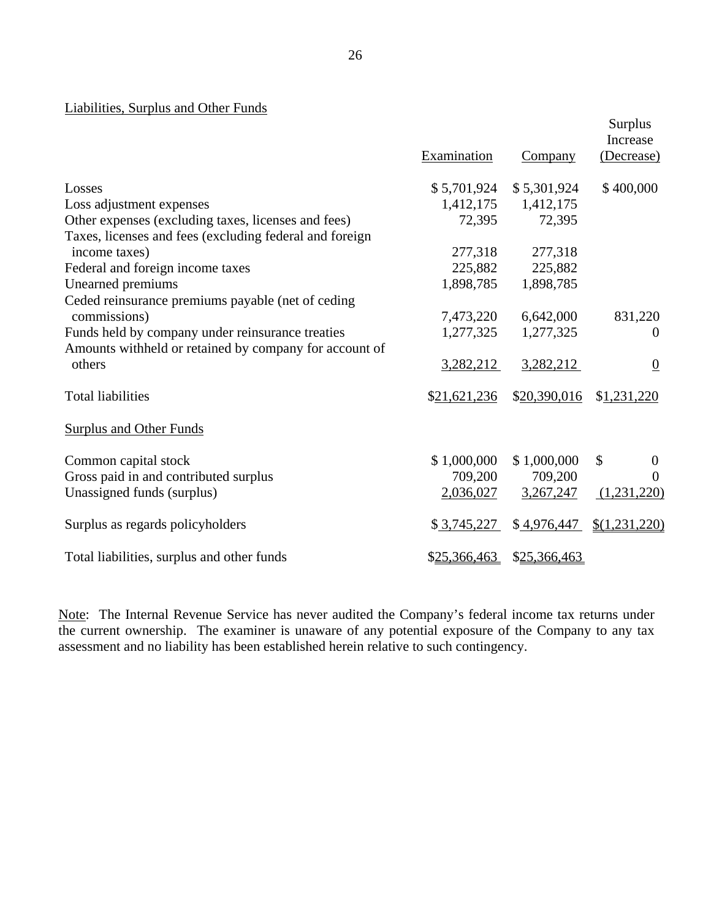# Liabilities, Surplus and Other Funds

|                                                         | Examination  | <b>Company</b> | <b>Surplus</b><br>Increase<br>(Decrease) |
|---------------------------------------------------------|--------------|----------------|------------------------------------------|
| Losses                                                  | \$5,701,924  | \$5,301,924    | \$400,000                                |
| Loss adjustment expenses                                | 1,412,175    | 1,412,175      |                                          |
| Other expenses (excluding taxes, licenses and fees)     | 72,395       | 72,395         |                                          |
| Taxes, licenses and fees (excluding federal and foreign |              |                |                                          |
| income taxes)                                           | 277,318      | 277,318        |                                          |
| Federal and foreign income taxes                        | 225,882      | 225,882        |                                          |
| Unearned premiums                                       | 1,898,785    | 1,898,785      |                                          |
| Ceded reinsurance premiums payable (net of ceding       |              |                |                                          |
| commissions)                                            | 7,473,220    | 6,642,000      | 831,220                                  |
| Funds held by company under reinsurance treaties        | 1,277,325    | 1,277,325      | $\boldsymbol{0}$                         |
| Amounts withheld or retained by company for account of  |              |                |                                          |
| others                                                  | 3,282,212    | 3,282,212      | $\boldsymbol{0}$                         |
| <b>Total liabilities</b>                                | \$21,621,236 | \$20,390,016   | \$1,231,220                              |
| <b>Surplus and Other Funds</b>                          |              |                |                                          |
| Common capital stock                                    | \$1,000,000  | \$1,000,000    | $\mathcal{S}$<br>$\theta$                |
| Gross paid in and contributed surplus                   | 709,200      | 709,200        | 0                                        |
| Unassigned funds (surplus)                              | 2,036,027    | 3,267,247      | (1,231,220)                              |
| Surplus as regards policyholders                        | \$3,745,227  | \$4,976,447    | \$(1,231,220)                            |
| Total liabilities, surplus and other funds              | \$25,366,463 | \$25,366,463   |                                          |

Note: The Internal Revenue Service has never audited the Company's federal income tax returns under the current ownership. The examiner is unaware of any potential exposure of the Company to any tax assessment and no liability has been established herein relative to such contingency.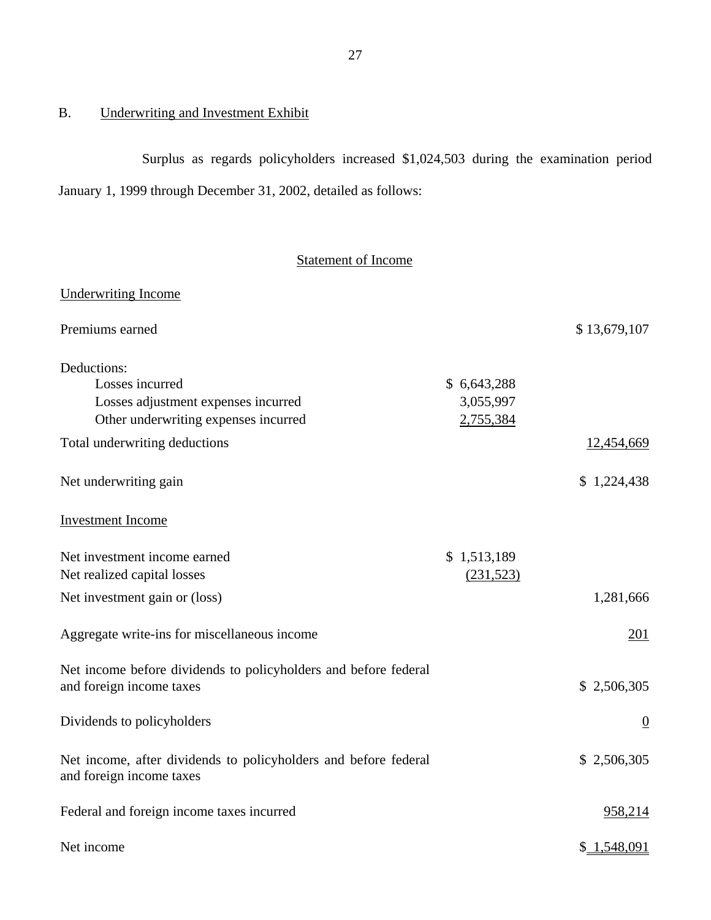# B. Underwriting and Investment Exhibit

Surplus as regards policyholders increased \$1,024,503 during the examination period January 1, 1999 through December 31, 2002, detailed as follows:

# Statement of Income

| <b>Underwriting Income</b>                                                                  |             |                |
|---------------------------------------------------------------------------------------------|-------------|----------------|
| Premiums earned                                                                             |             | \$13,679,107   |
| Deductions:                                                                                 |             |                |
| Losses incurred                                                                             | \$6,643,288 |                |
| Losses adjustment expenses incurred                                                         | 3,055,997   |                |
| Other underwriting expenses incurred                                                        | 2,755,384   |                |
| Total underwriting deductions                                                               |             | 12,454,669     |
| Net underwriting gain                                                                       |             | \$1,224,438    |
| <b>Investment Income</b>                                                                    |             |                |
| Net investment income earned                                                                | \$1,513,189 |                |
| Net realized capital losses                                                                 | (231, 523)  |                |
| Net investment gain or (loss)                                                               |             | 1,281,666      |
| Aggregate write-ins for miscellaneous income                                                |             | 201            |
| Net income before dividends to policyholders and before federal                             |             |                |
| and foreign income taxes                                                                    |             | \$2,506,305    |
| Dividends to policyholders                                                                  |             | $\overline{0}$ |
| Net income, after dividends to policyholders and before federal<br>and foreign income taxes |             | \$2,506,305    |
| Federal and foreign income taxes incurred                                                   |             | 958,214        |
| Net income                                                                                  |             | \$1,548,091    |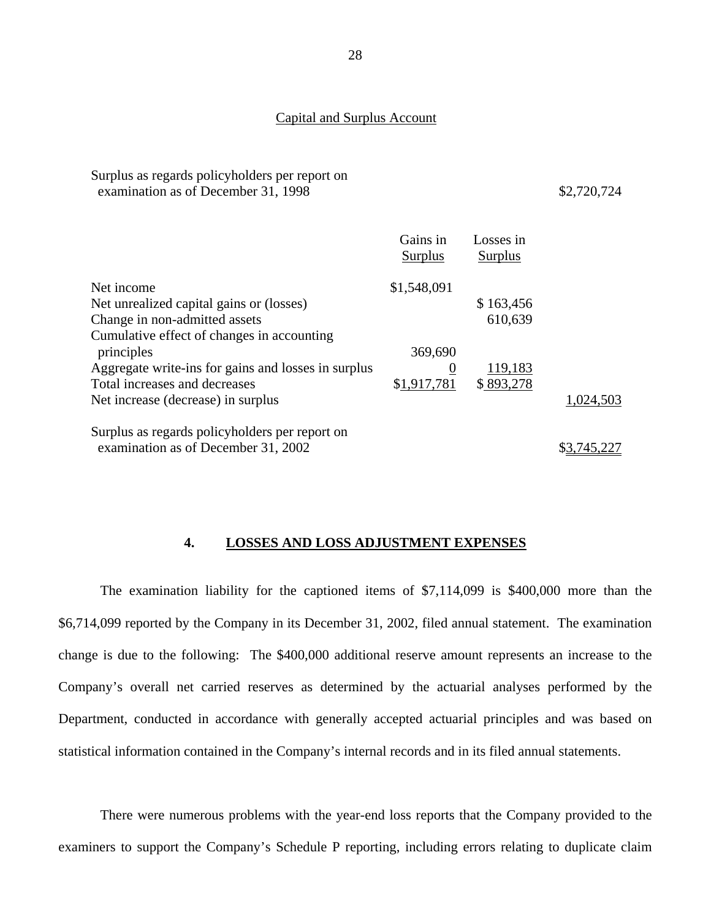### Capital and Surplus Account

<span id="page-29-0"></span>

| Surplus as regards policyholders per report on |  |
|------------------------------------------------|--|
| examination as of December 31, 1998            |  |

## \$2,720,724

|                                                          | Gains in<br>Surplus | Losses in<br>Surplus |           |
|----------------------------------------------------------|---------------------|----------------------|-----------|
| Net income                                               | \$1,548,091         |                      |           |
| Net unrealized capital gains or (losses)                 |                     | \$163,456            |           |
| Change in non-admitted assets                            |                     | 610,639              |           |
| Cumulative effect of changes in accounting<br>principles | 369,690             |                      |           |
| Aggregate write-ins for gains and losses in surplus      | $\overline{0}$      | 119,183              |           |
| Total increases and decreases                            | \$1,917,781         | \$893,278            |           |
| Net increase (decrease) in surplus                       |                     |                      | 1,024,503 |
| Surplus as regards policyholders per report on           |                     |                      |           |
| examination as of December 31, 2002                      |                     |                      |           |

## **4. LOSSES AND LOSS ADJUSTMENT EXPENSES**

The examination liability for the captioned items of \$7,114,099 is \$400,000 more than the \$6,714,099 reported by the Company in its December 31, 2002, filed annual statement. The examination change is due to the following: The \$400,000 additional reserve amount represents an increase to the Company's overall net carried reserves as determined by the actuarial analyses performed by the Department, conducted in accordance with generally accepted actuarial principles and was based on statistical information contained in the Company's internal records and in its filed annual statements.

There were numerous problems with the year-end loss reports that the Company provided to the examiners to support the Company's Schedule P reporting, including errors relating to duplicate claim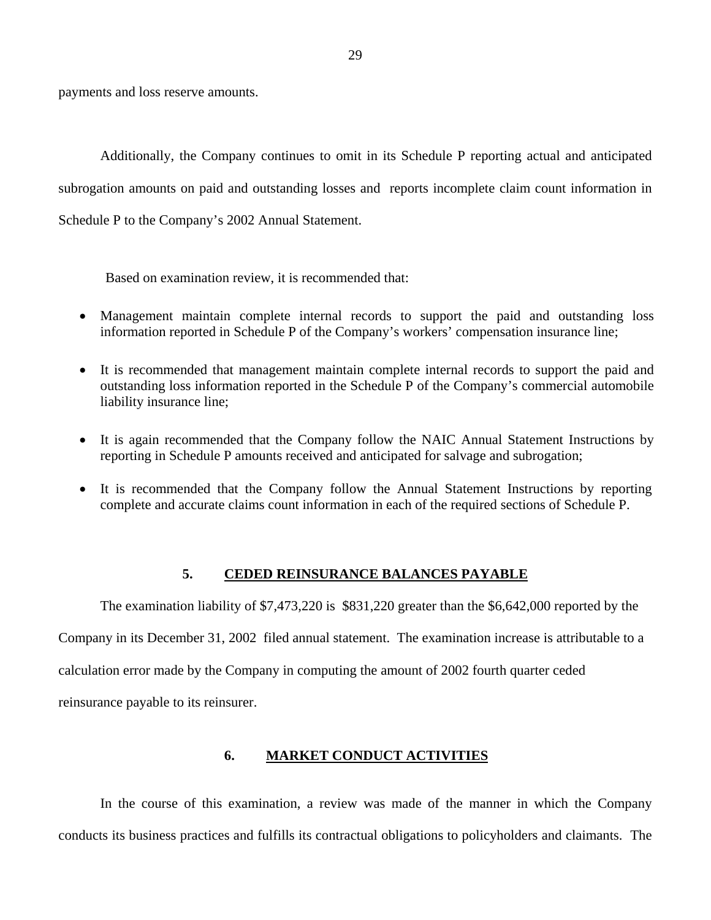<span id="page-30-0"></span>payments and loss reserve amounts.

Additionally, the Company continues to omit in its Schedule P reporting actual and anticipated subrogation amounts on paid and outstanding losses and reports incomplete claim count information in Schedule P to the Company's 2002 Annual Statement.

Based on examination review, it is recommended that:

- Management maintain complete internal records to support the paid and outstanding loss information reported in Schedule P of the Company's workers' compensation insurance line;
- It is recommended that management maintain complete internal records to support the paid and outstanding loss information reported in the Schedule P of the Company's commercial automobile liability insurance line;
- It is again recommended that the Company follow the NAIC Annual Statement Instructions by reporting in Schedule P amounts received and anticipated for salvage and subrogation;
- It is recommended that the Company follow the Annual Statement Instructions by reporting complete and accurate claims count information in each of the required sections of Schedule P.

## **5. CEDED REINSURANCE BALANCES PAYABLE**

The examination liability of \$7,473,220 is \$831,220 greater than the \$6,642,000 reported by the

Company in its December 31, 2002 filed annual statement. The examination increase is attributable to a calculation error made by the Company in computing the amount of 2002 fourth quarter ceded reinsurance payable to its reinsurer.

## **6. MARKET CONDUCT ACTIVITIES**

In the course of this examination, a review was made of the manner in which the Company conducts its business practices and fulfills its contractual obligations to policyholders and claimants. The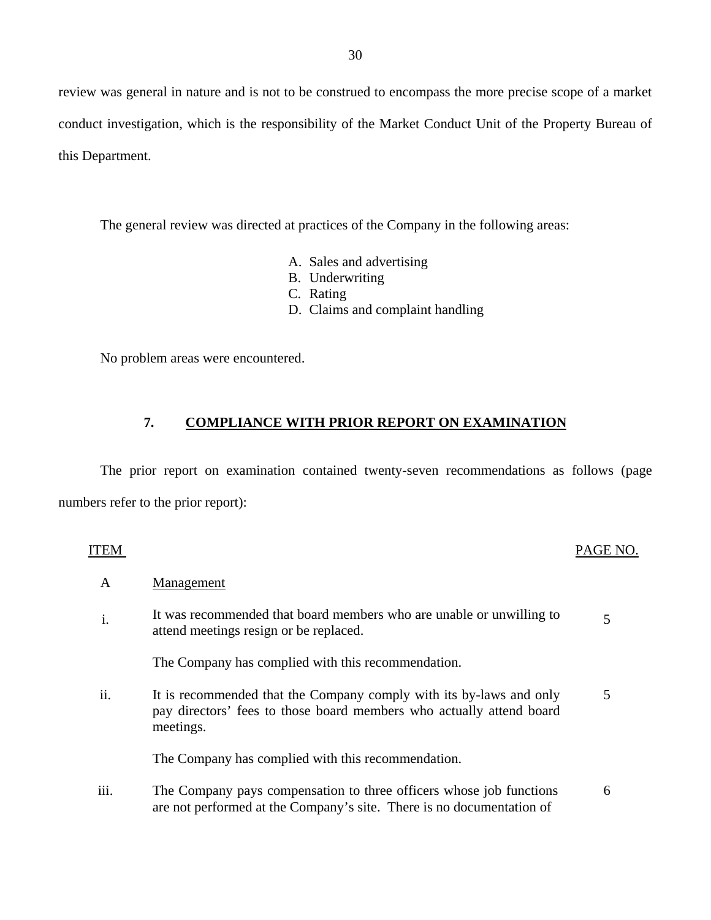review was general in nature and is not to be construed to encompass the more precise scope of a market conduct investigation, which is the responsibility of the Market Conduct Unit of the Property Bureau of this Department.

The general review was directed at practices of the Company in the following areas:

- A. Sales and advertising
- B. Underwriting
- C. Rating
- D. Claims and complaint handling

No problem areas were encountered.

# **7. COMPLIANCE WITH PRIOR REPORT ON EXAMINATION**

The prior report on examination contained twenty-seven recommendations as follows (page numbers refer to the prior report):

| <b>ITEM</b> |                                                                                                                                                          | PAGE NO. |
|-------------|----------------------------------------------------------------------------------------------------------------------------------------------------------|----------|
| A           | Management                                                                                                                                               |          |
| i.          | It was recommended that board members who are unable or unwilling to<br>attend meetings resign or be replaced.                                           | 5        |
|             | The Company has complied with this recommendation.                                                                                                       |          |
| ii.         | It is recommended that the Company comply with its by-laws and only<br>pay directors' fees to those board members who actually attend board<br>meetings. | 5        |
|             | The Company has complied with this recommendation.                                                                                                       |          |
| iii.        | The Company pays compensation to three officers whose job functions<br>are not performed at the Company's site. There is no documentation of             | 6        |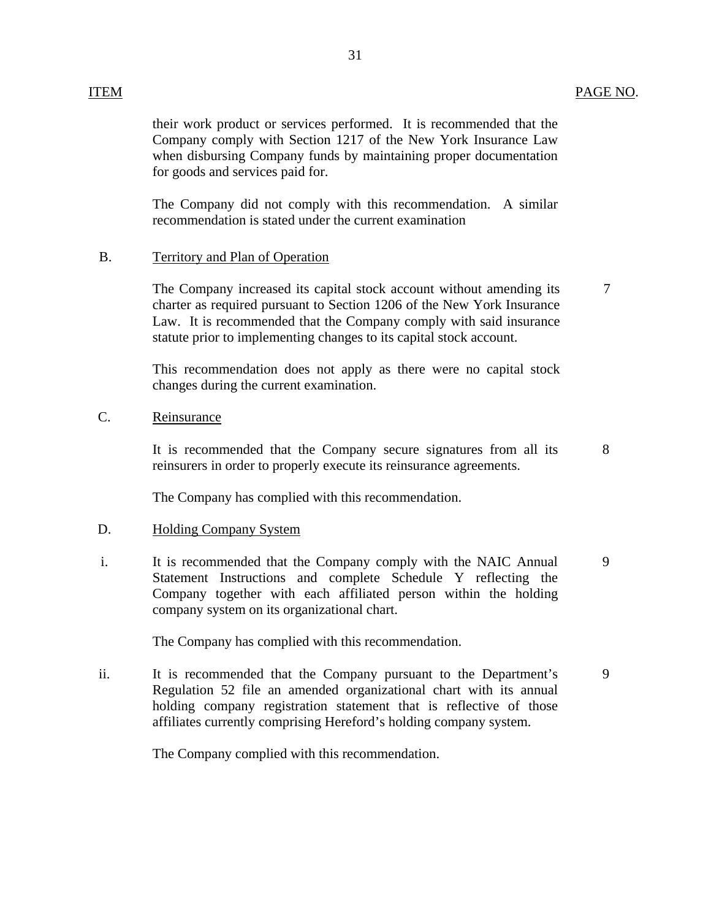# ITEM PAGE NO.

The Company did not comply with this recommendation. A similar recommendation is stated under the current examination

## B. Territory and Plan of Operation

The Company increased its capital stock account without amending its charter as required pursuant to Section 1206 of the New York Insurance Law. It is recommended that the Company comply with said insurance statute prior to implementing changes to its capital stock account.

7

8

9

This recommendation does not apply as there were no capital stock changes during the current examination.

# C. Reinsurance

It is recommended that the Company secure signatures from all its reinsurers in order to properly execute its reinsurance agreements.

The Company has complied with this recommendation.

## D. Holding Company System

i. It is recommended that the Company comply with the NAIC Annual Statement Instructions and complete Schedule Y reflecting the Company together with each affiliated person within the holding company system on its organizational chart. 9

The Company has complied with this recommendation.

ii. It is recommended that the Company pursuant to the Department's Regulation 52 file an amended organizational chart with its annual holding company registration statement that is reflective of those affiliates currently comprising Hereford's holding company system.

The Company complied with this recommendation.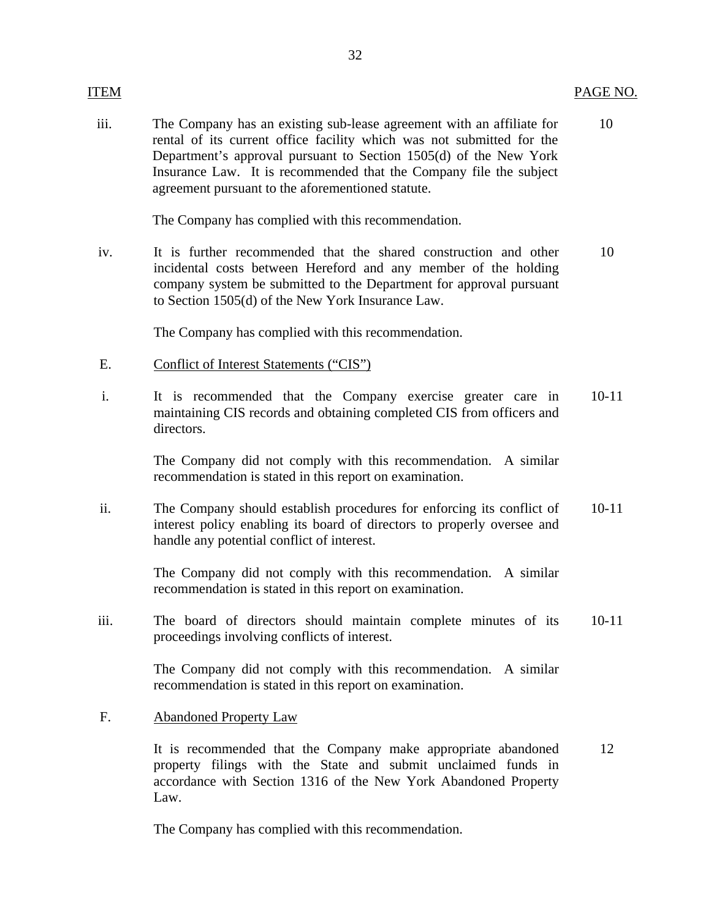## ITEM PAGE NO.

iii. The Company has an existing sub-lease agreement with an affiliate for 10 rental of its current office facility which was not submitted for the Department's approval pursuant to Section 1505(d) of the New York Insurance Law. It is recommended that the Company file the subject agreement pursuant to the aforementioned statute.

The Company has complied with this recommendation.

iv. It is further recommended that the shared construction and other 10 incidental costs between Hereford and any member of the holding company system be submitted to the Department for approval pursuant to Section 1505(d) of the New York Insurance Law.

The Company has complied with this recommendation.

- E. Conflict of Interest Statements ("CIS")
- i. It is recommended that the Company exercise greater care in 10-11 maintaining CIS records and obtaining completed CIS from officers and directors.

The Company did not comply with this recommendation. A similar recommendation is stated in this report on examination.

ii. The Company should establish procedures for enforcing its conflict of 10-11 interest policy enabling its board of directors to properly oversee and handle any potential conflict of interest.

> The Company did not comply with this recommendation. A similar recommendation is stated in this report on examination.

iii. The board of directors should maintain complete minutes of its 10-11 proceedings involving conflicts of interest.

> The Company did not comply with this recommendation. A similar recommendation is stated in this report on examination.

F. Abandoned Property Law

It is recommended that the Company make appropriate abandoned 12 property filings with the State and submit unclaimed funds in accordance with Section 1316 of the New York Abandoned Property Law.

The Company has complied with this recommendation.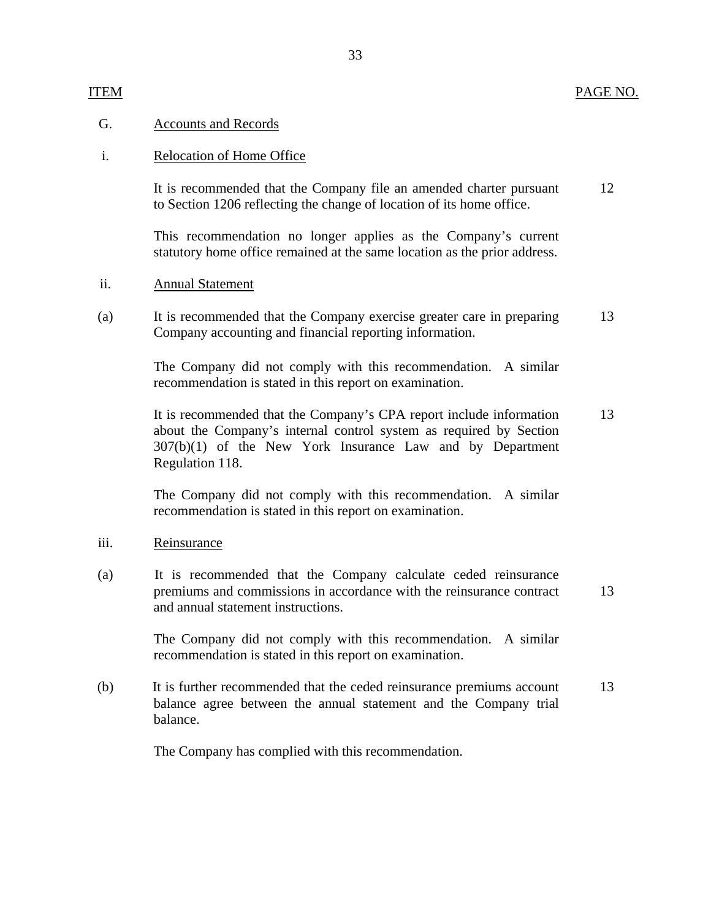## G. Accounts and Records

## i. Relocation of Home Office

It is recommended that the Company file an amended charter pursuant 12 to Section 1206 reflecting the change of location of its home office.

This recommendation no longer applies as the Company's current statutory home office remained at the same location as the prior address.

## ii. Annual Statement

(a) It is recommended that the Company exercise greater care in preparing Company accounting and financial reporting information. 13

> The Company did not comply with this recommendation. A similar recommendation is stated in this report on examination.

It is recommended that the Company's CPA report include information about the Company's internal control system as required by Section 307(b)(1) of the New York Insurance Law and by Department Regulation 118. 13

The Company did not comply with this recommendation. A similar recommendation is stated in this report on examination.

## iii. Reinsurance

(a) It is recommended that the Company calculate ceded reinsurance premiums and commissions in accordance with the reinsurance contract and annual statement instructions. 13

> The Company did not comply with this recommendation. A similar recommendation is stated in this report on examination.

(b) It is further recommended that the ceded reinsurance premiums account balance agree between the annual statement and the Company trial balance. 13

The Company has complied with this recommendation.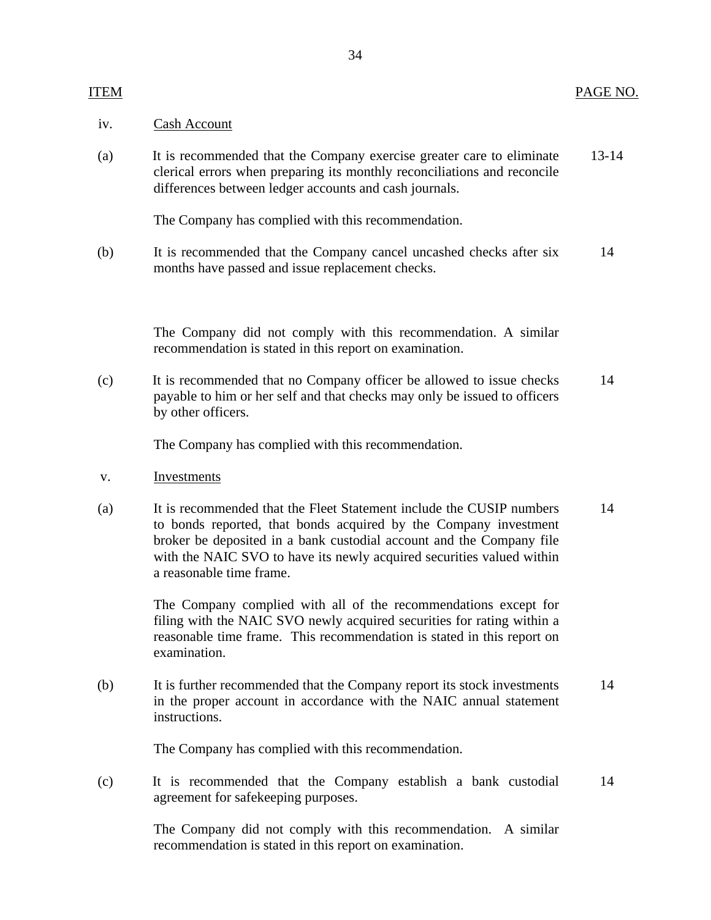## iv. Cash Account

(a) It is recommended that the Company exercise greater care to eliminate 13-14 clerical errors when preparing its monthly reconciliations and reconcile differences between ledger accounts and cash journals.

The Company has complied with this recommendation.

(b) It is recommended that the Company cancel uncashed checks after six 14 months have passed and issue replacement checks.

> The Company did not comply with this recommendation. A similar recommendation is stated in this report on examination.

(c) It is recommended that no Company officer be allowed to issue checks 14 payable to him or her self and that checks may only be issued to officers by other officers.

The Company has complied with this recommendation.

- v. Investments
- (a) It is recommended that the Fleet Statement include the CUSIP numbers 14 to bonds reported, that bonds acquired by the Company investment broker be deposited in a bank custodial account and the Company file with the NAIC SVO to have its newly acquired securities valued within a reasonable time frame.

The Company complied with all of the recommendations except for filing with the NAIC SVO newly acquired securities for rating within a reasonable time frame. This recommendation is stated in this report on examination.

(b) It is further recommended that the Company report its stock investments 14 in the proper account in accordance with the NAIC annual statement instructions.

The Company has complied with this recommendation.

(c) It is recommended that the Company establish a bank custodial 14 agreement for safekeeping purposes.

> The Company did not comply with this recommendation. A similar recommendation is stated in this report on examination.

## 34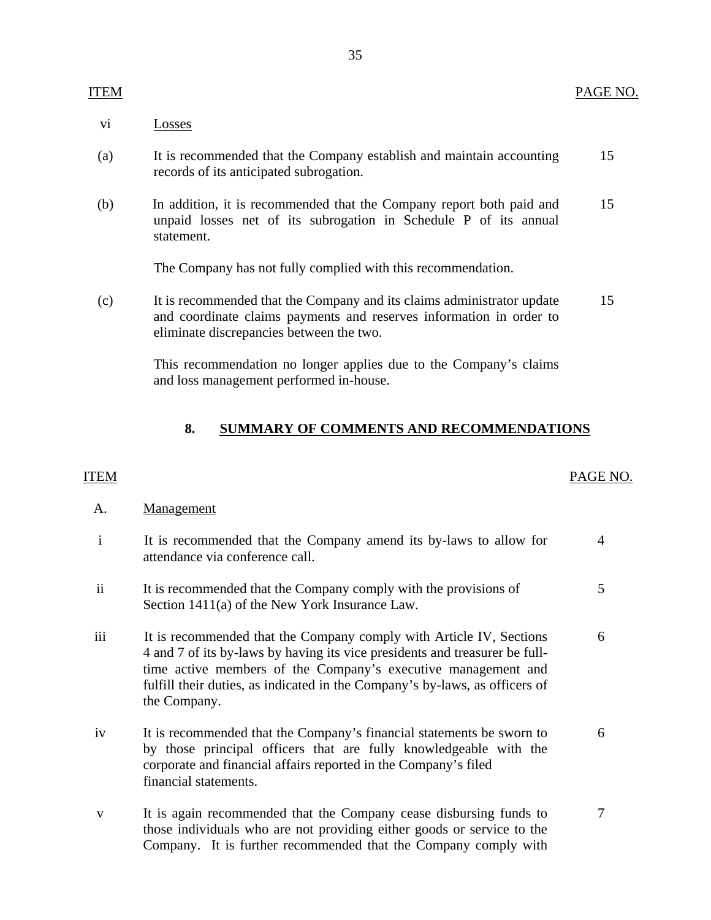# vi Losses

- (a) It is recommended that the Company establish and maintain accounting records of its anticipated subrogation. 15
- (b) In addition, it is recommended that the Company report both paid and unpaid losses net of its subrogation in Schedule P of its annual statement. 15

The Company has not fully complied with this recommendation.

(c) It is recommended that the Company and its claims administrator update and coordinate claims payments and reserves information in order to eliminate discrepancies between the two. 15

> This recommendation no longer applies due to the Company's claims and loss management performed in-house.

## **8. SUMMARY OF COMMENTS AND RECOMMENDATIONS**

## ITEM PAGE NO.

## A. Management

| $\mathbf{i}$ | It is recommended that the Company amend its by-laws to allow for<br>attendance via conference call.                                                                                                                                                                                                               | 4 |
|--------------|--------------------------------------------------------------------------------------------------------------------------------------------------------------------------------------------------------------------------------------------------------------------------------------------------------------------|---|
| ii           | It is recommended that the Company comply with the provisions of<br>Section 1411(a) of the New York Insurance Law.                                                                                                                                                                                                 | 5 |
| iii          | It is recommended that the Company comply with Article IV, Sections<br>4 and 7 of its by-laws by having its vice presidents and treasurer be full-<br>time active members of the Company's executive management and<br>fulfill their duties, as indicated in the Company's by-laws, as officers of<br>the Company. | 6 |
| iv           | It is recommended that the Company's financial statements be sworn to<br>by those principal officers that are fully knowledgeable with the<br>corporate and financial affairs reported in the Company's filed<br>financial statements.                                                                             | 6 |
| v            | It is again recommended that the Company cease disbursing funds to                                                                                                                                                                                                                                                 |   |

those individuals who are not providing either goods or service to the Company. It is further recommended that the Company comply with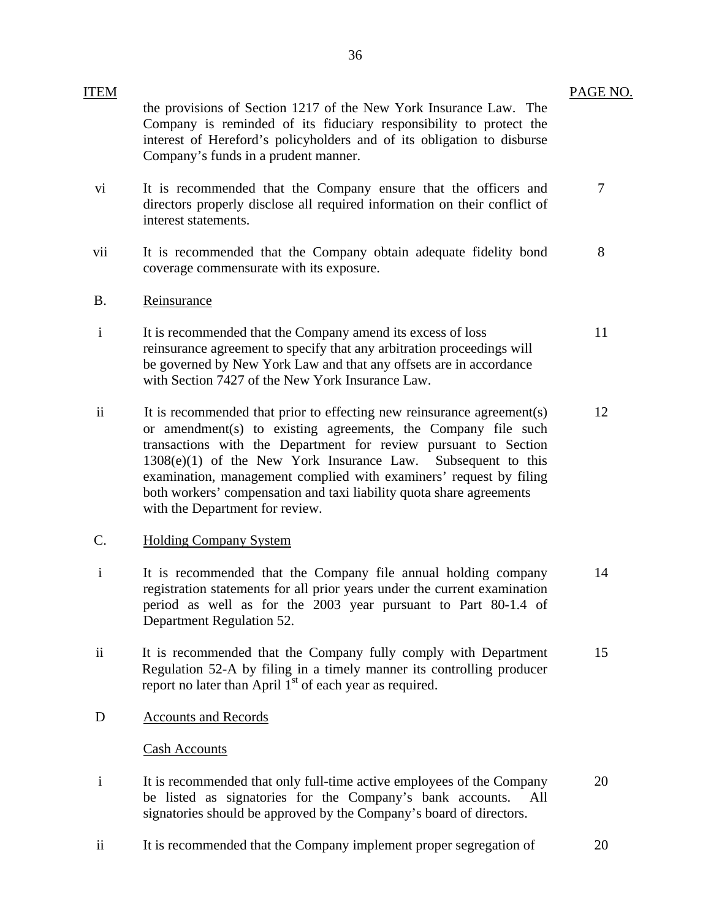| <b>ITEM</b>     |                                                                                                                                                                                                                                                                                                                                                                                                                                                                  | PAGE NO. |
|-----------------|------------------------------------------------------------------------------------------------------------------------------------------------------------------------------------------------------------------------------------------------------------------------------------------------------------------------------------------------------------------------------------------------------------------------------------------------------------------|----------|
|                 | the provisions of Section 1217 of the New York Insurance Law. The<br>Company is reminded of its fiduciary responsibility to protect the<br>interest of Hereford's policyholders and of its obligation to disburse<br>Company's funds in a prudent manner.                                                                                                                                                                                                        |          |
| vi              | It is recommended that the Company ensure that the officers and<br>directors properly disclose all required information on their conflict of<br>interest statements.                                                                                                                                                                                                                                                                                             | 7        |
| vii             | It is recommended that the Company obtain adequate fidelity bond<br>coverage commensurate with its exposure.                                                                                                                                                                                                                                                                                                                                                     | 8        |
| <b>B.</b>       | Reinsurance                                                                                                                                                                                                                                                                                                                                                                                                                                                      |          |
| $\mathbf{i}$    | It is recommended that the Company amend its excess of loss<br>reinsurance agreement to specify that any arbitration proceedings will<br>be governed by New York Law and that any offsets are in accordance<br>with Section 7427 of the New York Insurance Law.                                                                                                                                                                                                  | 11       |
| $\mathbf{ii}$   | It is recommended that prior to effecting new reinsurance agreement(s)<br>or amendment(s) to existing agreements, the Company file such<br>transactions with the Department for review pursuant to Section<br>$1308(e)(1)$ of the New York Insurance Law.<br>Subsequent to this<br>examination, management complied with examiners' request by filing<br>both workers' compensation and taxi liability quota share agreements<br>with the Department for review. | 12       |
| $\mathcal{C}$ . | <b>Holding Company System</b>                                                                                                                                                                                                                                                                                                                                                                                                                                    |          |
| $\mathbf{i}$    | It is recommended that the Company file annual holding company<br>registration statements for all prior years under the current examination<br>period as well as for the 2003 year pursuant to Part 80-1.4 of<br>Department Regulation 52.                                                                                                                                                                                                                       | 14       |
| ii              | It is recommended that the Company fully comply with Department<br>Regulation 52-A by filing in a timely manner its controlling producer<br>report no later than April 1 <sup>st</sup> of each year as required.                                                                                                                                                                                                                                                 | 15       |
| D               | <b>Accounts and Records</b>                                                                                                                                                                                                                                                                                                                                                                                                                                      |          |
|                 | <b>Cash Accounts</b>                                                                                                                                                                                                                                                                                                                                                                                                                                             |          |
| $\mathbf{i}$    | It is recommended that only full-time active employees of the Company<br>be listed as signatories for the Company's bank accounts.<br>All<br>signatories should be approved by the Company's board of directors.                                                                                                                                                                                                                                                 | 20       |
| $\rm ii$        | It is recommended that the Company implement proper segregation of                                                                                                                                                                                                                                                                                                                                                                                               | 20       |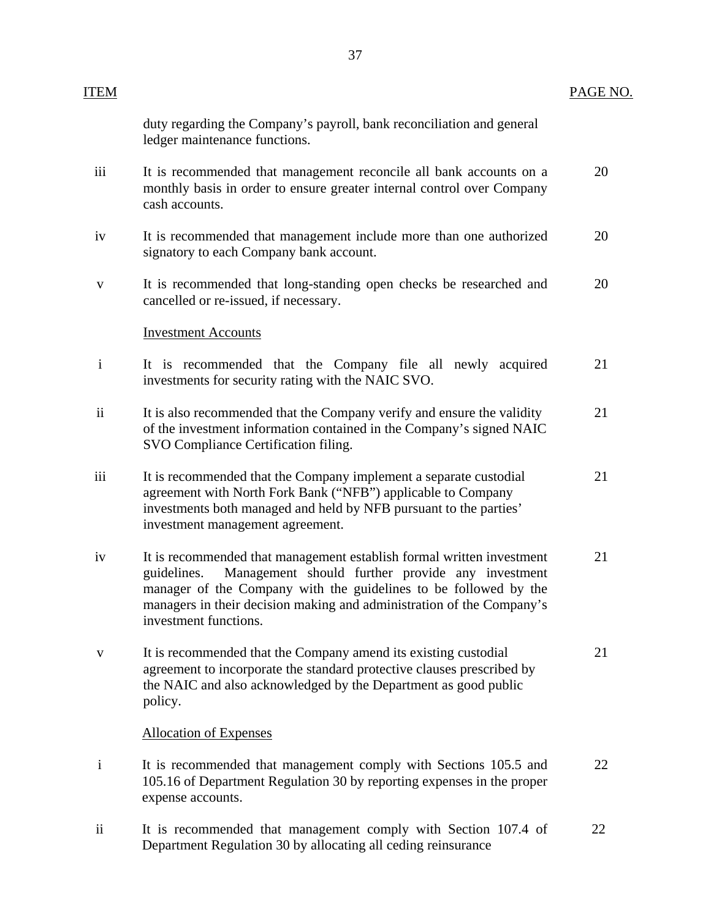| ITEM                     |                                                                                                                                                                                                                                                                                                                | PAGE NO. |
|--------------------------|----------------------------------------------------------------------------------------------------------------------------------------------------------------------------------------------------------------------------------------------------------------------------------------------------------------|----------|
|                          | duty regarding the Company's payroll, bank reconciliation and general<br>ledger maintenance functions.                                                                                                                                                                                                         |          |
| iii                      | It is recommended that management reconcile all bank accounts on a<br>monthly basis in order to ensure greater internal control over Company<br>cash accounts.                                                                                                                                                 | 20       |
| iv                       | It is recommended that management include more than one authorized<br>signatory to each Company bank account.                                                                                                                                                                                                  | 20       |
| $\mathbf V$              | It is recommended that long-standing open checks be researched and<br>cancelled or re-issued, if necessary.                                                                                                                                                                                                    | 20       |
|                          | <b>Investment Accounts</b>                                                                                                                                                                                                                                                                                     |          |
| $\mathbf{i}$             | It is recommended that the Company file all newly acquired<br>investments for security rating with the NAIC SVO.                                                                                                                                                                                               | 21       |
| $\overline{\textbf{ii}}$ | It is also recommended that the Company verify and ensure the validity<br>of the investment information contained in the Company's signed NAIC<br>SVO Compliance Certification filing.                                                                                                                         | 21       |
| iii                      | It is recommended that the Company implement a separate custodial<br>agreement with North Fork Bank ("NFB") applicable to Company<br>investments both managed and held by NFB pursuant to the parties'<br>investment management agreement.                                                                     | 21       |
| iv                       | It is recommended that management establish formal written investment<br>Management should further provide any investment<br>guidelines.<br>manager of the Company with the guidelines to be followed by the<br>managers in their decision making and administration of the Company's<br>investment functions. | 21       |
| $\mathbf{V}$             | It is recommended that the Company amend its existing custodial<br>agreement to incorporate the standard protective clauses prescribed by<br>the NAIC and also acknowledged by the Department as good public<br>policy.                                                                                        | 21       |
|                          | <b>Allocation of Expenses</b>                                                                                                                                                                                                                                                                                  |          |
| $\mathbf{i}$             | It is recommended that management comply with Sections 105.5 and<br>105.16 of Department Regulation 30 by reporting expenses in the proper<br>expense accounts.                                                                                                                                                | 22       |
| $\rm ii$                 | It is recommended that management comply with Section 107.4 of<br>Department Regulation 30 by allocating all ceding reinsurance                                                                                                                                                                                | 22       |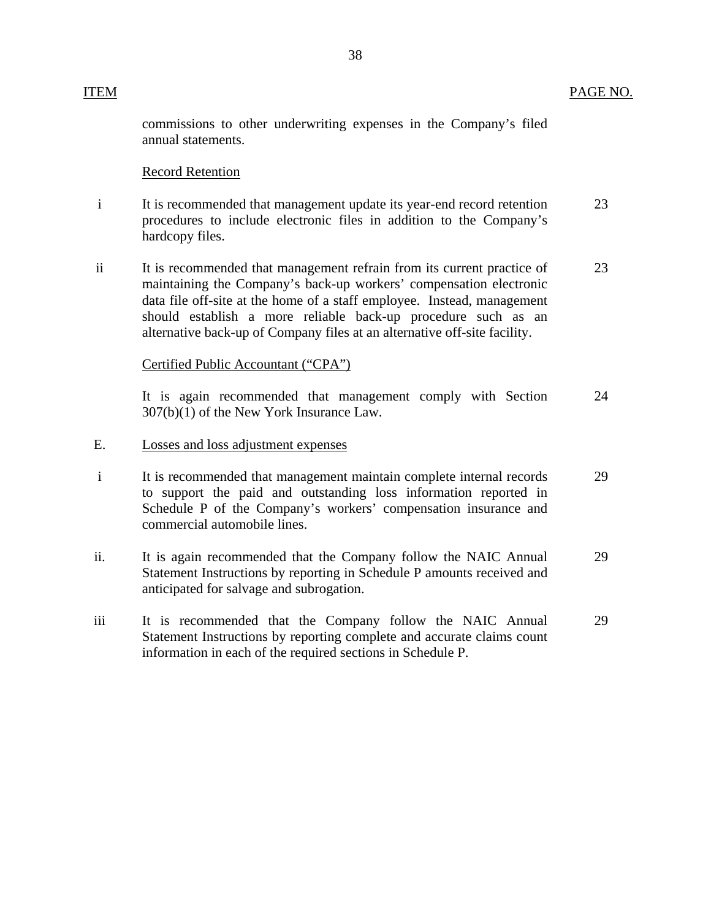|                | commissions to other underwriting expenses in the Company's filed<br>annual statements.                                                                                                                                                                                                                                                                               |    |
|----------------|-----------------------------------------------------------------------------------------------------------------------------------------------------------------------------------------------------------------------------------------------------------------------------------------------------------------------------------------------------------------------|----|
|                | <b>Record Retention</b>                                                                                                                                                                                                                                                                                                                                               |    |
| $\mathbf{i}$   | It is recommended that management update its year-end record retention<br>procedures to include electronic files in addition to the Company's<br>hardcopy files.                                                                                                                                                                                                      | 23 |
| $\ddot{\rm n}$ | It is recommended that management refrain from its current practice of<br>maintaining the Company's back-up workers' compensation electronic<br>data file off-site at the home of a staff employee. Instead, management<br>should establish a more reliable back-up procedure such as an<br>alternative back-up of Company files at an alternative off-site facility. | 23 |
|                | Certified Public Accountant ("CPA")                                                                                                                                                                                                                                                                                                                                   |    |
|                | It is again recommended that management comply with Section<br>307(b)(1) of the New York Insurance Law.                                                                                                                                                                                                                                                               | 24 |
| E.             | Losses and loss adjustment expenses                                                                                                                                                                                                                                                                                                                                   |    |
| $\mathbf{i}$   | It is recommended that management maintain complete internal records<br>to support the paid and outstanding loss information reported in<br>Schedule P of the Company's workers' compensation insurance and<br>commercial automobile lines.                                                                                                                           | 29 |
| ii.            | It is again recommended that the Company follow the NAIC Annual<br>Statement Instructions by reporting in Schedule P amounts received and<br>anticipated for salvage and subrogation.                                                                                                                                                                                 | 29 |
| iii            | It is recommended that the Company follow the NAIC Annual<br>Statement Instructions by reporting complete and accurate claims count                                                                                                                                                                                                                                   | 29 |

information in each of the required sections in Schedule P.

ITEM PAGE NO.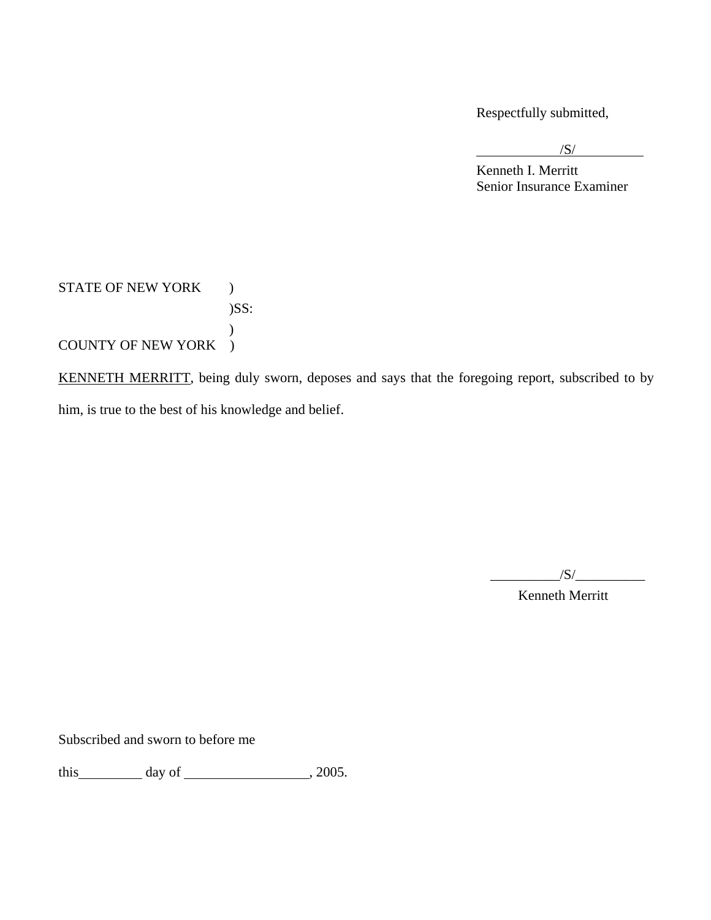Respectfully submitted,

 $\overline{\phantom{a}}$  /S/

 Kenneth I. Merritt Senior Insurance Examiner

STATE OF NEW YORK  $\qquad \, )$ )SS:  $\mathcal{L}$ COUNTY OF NEW YORK )

KENNETH MERRITT, being duly sworn, deposes and says that the foregoing report, subscribed to by him, is true to the best of his knowledge and belief.

 $\sqrt{S}/$ 

Kenneth Merritt

Subscribed and sworn to before me

this  $\_\_\_\_$  day of  $\_\_\_\_\_\_$ , 2005.